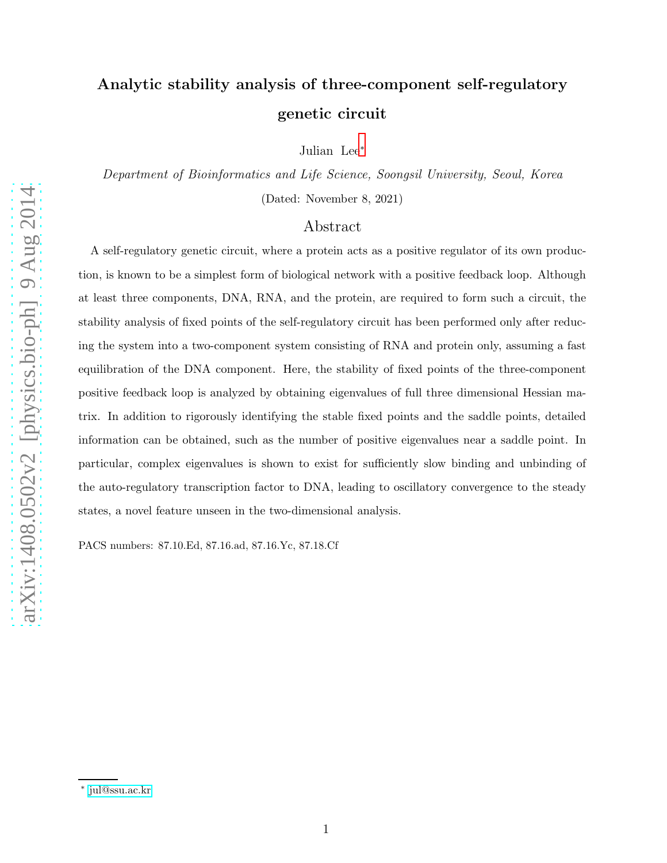# Analytic stability analysis of three-component self-regulatory genetic circuit

Julian Lee[∗](#page-0-0)

Department of Bioinformatics and Life Science, Soongsil University, Seoul, Korea (Dated: November 8, 2021)

## Abstract

A self-regulatory genetic circuit, where a protein acts as a positive regulator of its own production, is known to be a simplest form of biological network with a positive feedback loop. Although at least three components, DNA, RNA, and the protein, are required to form such a circuit, the stability analysis of fixed points of the self-regulatory circuit has been performed only after reducing the system into a two-component system consisting of RNA and protein only, assuming a fast equilibration of the DNA component. Here, the stability of fixed points of the three-component positive feedback loop is analyzed by obtaining eigenvalues of full three dimensional Hessian matrix. In addition to rigorously identifying the stable fixed points and the saddle points, detailed information can be obtained, such as the number of positive eigenvalues near a saddle point. In particular, complex eigenvalues is shown to exist for sufficiently slow binding and unbinding of the auto-regulatory transcription factor to DNA, leading to oscillatory convergence to the steady states, a novel feature unseen in the two-dimensional analysis.

PACS numbers: 87.10.Ed, 87.16.ad, 87.16.Yc, 87.18.Cf

<span id="page-0-0"></span><sup>∗</sup> [jul@ssu.ac.kr](mailto:jul@ssu.ac.kr)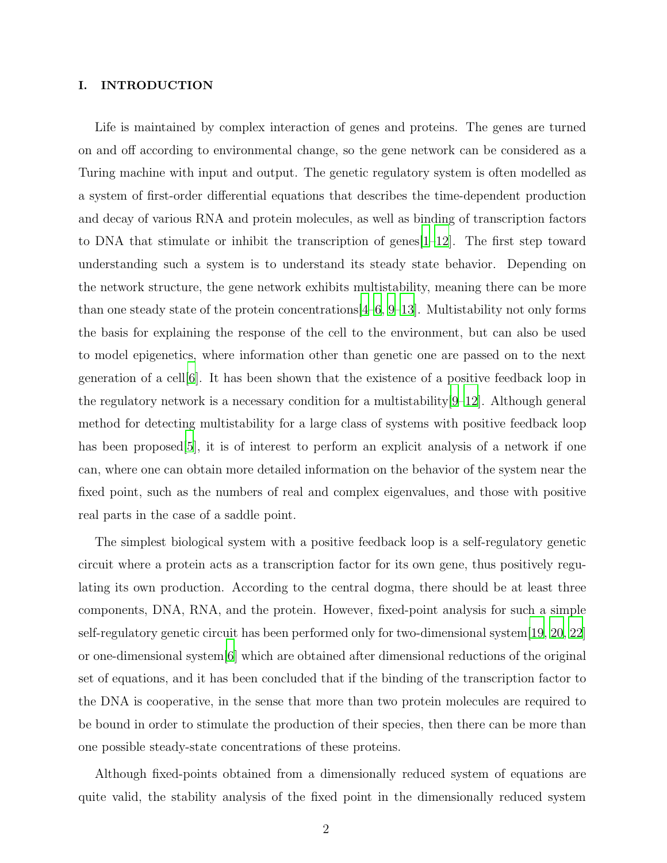### I. INTRODUCTION

Life is maintained by complex interaction of genes and proteins. The genes are turned on and off according to environmental change, so the gene network can be considered as a Turing machine with input and output. The genetic regulatory system is often modelled as a system of first-order differential equations that describes the time-dependent production and decay of various RNA and protein molecules, as well as binding of transcription factors to DNA that stimulate or inhibit the transcription of genes  $[1-12]$  $[1-12]$ . The first step toward understanding such a system is to understand its steady state behavior. Depending on the network structure, the gene network exhibits multistability, meaning there can be more than one steady state of the protein concentrations  $(4-6, 9-13)$  $(4-6, 9-13)$  $(4-6, 9-13)$ . Multistability not only forms the basis for explaining the response of the cell to the environment, but can also be used to model epigenetics, where information other than genetic one are passed on to the next generation of a cell[\[6](#page-25-3)]. It has been shown that the existence of a positive feedback loop in the regulatory network is a necessary condition for a multistability  $[9-12]$  $[9-12]$ . Although general method for detecting multistability for a large class of systems with positive feedback loop has been proposed [\[5\]](#page-25-6), it is of interest to perform an explicit analysis of a network if one can, where one can obtain more detailed information on the behavior of the system near the fixed point, such as the numbers of real and complex eigenvalues, and those with positive real parts in the case of a saddle point.

The simplest biological system with a positive feedback loop is a self-regulatory genetic circuit where a protein acts as a transcription factor for its own gene, thus positively regulating its own production. According to the central dogma, there should be at least three components, DNA, RNA, and the protein. However, fixed-point analysis for such a simple self-regulatory genetic circuit has been performed only for two-dimensional system[\[19](#page-25-7), [20](#page-26-0), [22\]](#page-26-1) or one-dimensional system[\[6](#page-25-3)] which are obtained after dimensional reductions of the original set of equations, and it has been concluded that if the binding of the transcription factor to the DNA is cooperative, in the sense that more than two protein molecules are required to be bound in order to stimulate the production of their species, then there can be more than one possible steady-state concentrations of these proteins.

Although fixed-points obtained from a dimensionally reduced system of equations are quite valid, the stability analysis of the fixed point in the dimensionally reduced system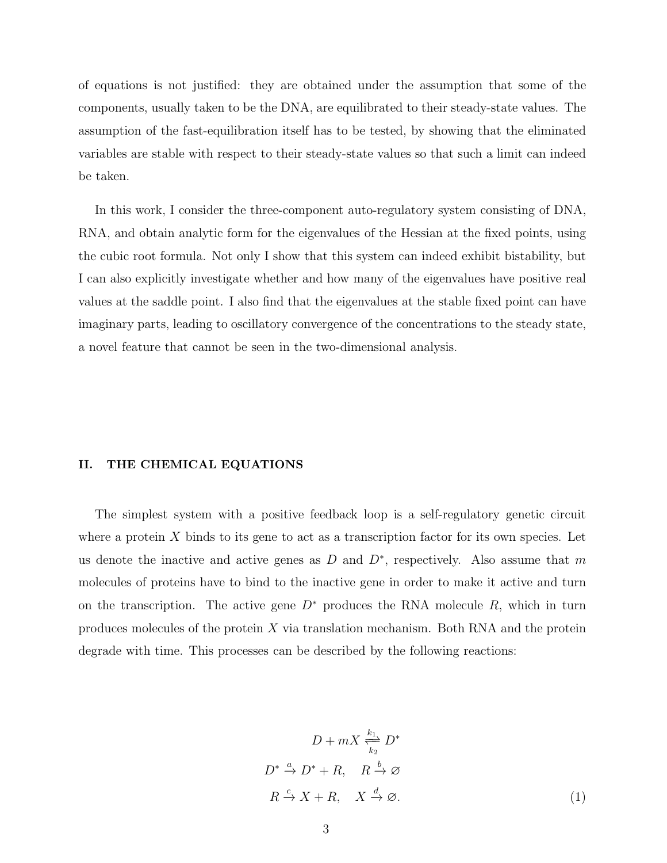of equations is not justified: they are obtained under the assumption that some of the components, usually taken to be the DNA, are equilibrated to their steady-state values. The assumption of the fast-equilibration itself has to be tested, by showing that the eliminated variables are stable with respect to their steady-state values so that such a limit can indeed be taken.

In this work, I consider the three-component auto-regulatory system consisting of DNA, RNA, and obtain analytic form for the eigenvalues of the Hessian at the fixed points, using the cubic root formula. Not only I show that this system can indeed exhibit bistability, but I can also explicitly investigate whether and how many of the eigenvalues have positive real values at the saddle point. I also find that the eigenvalues at the stable fixed point can have imaginary parts, leading to oscillatory convergence of the concentrations to the steady state, a novel feature that cannot be seen in the two-dimensional analysis.

#### II. THE CHEMICAL EQUATIONS

The simplest system with a positive feedback loop is a self-regulatory genetic circuit where a protein  $X$  binds to its gene to act as a transcription factor for its own species. Let us denote the inactive and active genes as D and  $D^*$ , respectively. Also assume that m molecules of proteins have to bind to the inactive gene in order to make it active and turn on the transcription. The active gene  $D^*$  produces the RNA molecule R, which in turn produces molecules of the protein  $X$  via translation mechanism. Both RNA and the protein degrade with time. This processes can be described by the following reactions:

<span id="page-2-0"></span>
$$
D + mX \stackrel{k_1}{\underset{k_2}{\rightleftharpoons}} D^*
$$
  

$$
D^* \stackrel{a}{\rightarrow} D^* + R, \quad R \stackrel{b}{\rightarrow} \varnothing
$$
  

$$
R \stackrel{c}{\rightarrow} X + R, \quad X \stackrel{d}{\rightarrow} \varnothing.
$$
 (1)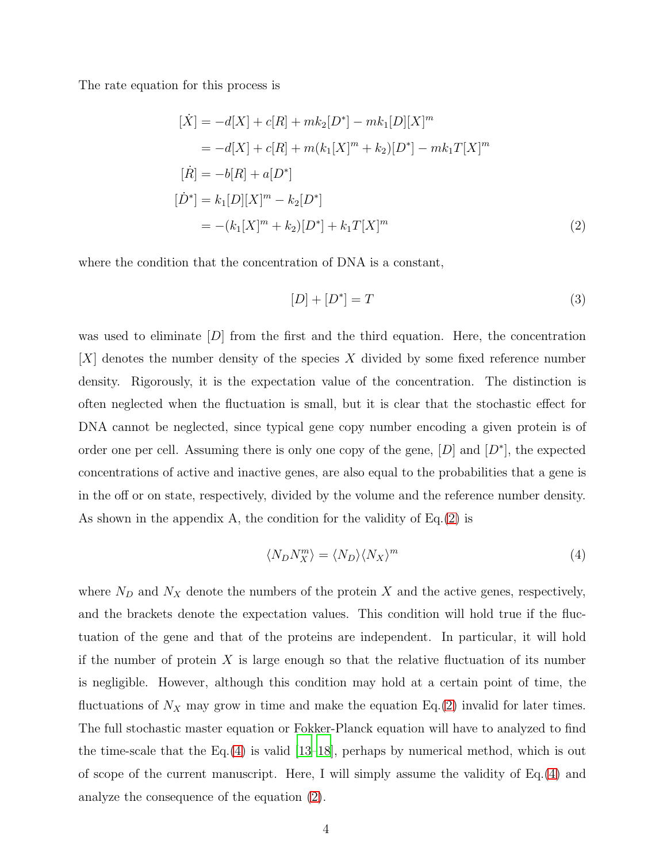The rate equation for this process is

<span id="page-3-0"></span>
$$
[\dot{X}] = -d[X] + c[R] + mk_2[D^*] - mk_1[D][X]^m
$$
  
\n
$$
= -d[X] + c[R] + m(k_1[X]^m + k_2)[D^*] - mk_1T[X]^m
$$
  
\n
$$
[\dot{R}] = -b[R] + a[D^*]
$$
  
\n
$$
[\dot{D}^*] = k_1[D][X]^m - k_2[D^*]
$$
  
\n
$$
= -(k_1[X]^m + k_2)[D^*] + k_1T[X]^m
$$
\n(2)

where the condition that the concentration of DNA is a constant,

$$
[D] + [D^*] = T \tag{3}
$$

was used to eliminate  $|D|$  from the first and the third equation. Here, the concentration  $|X|$  denotes the number density of the species X divided by some fixed reference number density. Rigorously, it is the expectation value of the concentration. The distinction is often neglected when the fluctuation is small, but it is clear that the stochastic effect for DNA cannot be neglected, since typical gene copy number encoding a given protein is of order one per cell. Assuming there is only one copy of the gene,  $[D]$  and  $[D^*]$ , the expected concentrations of active and inactive genes, are also equal to the probabilities that a gene is in the off or on state, respectively, divided by the volume and the reference number density. As shown in the appendix A, the condition for the validity of Eq.[\(2\)](#page-3-0) is

<span id="page-3-1"></span>
$$
\langle N_D N_X^m \rangle = \langle N_D \rangle \langle N_X \rangle^m \tag{4}
$$

where  $N_D$  and  $N_X$  denote the numbers of the protein X and the active genes, respectively, and the brackets denote the expectation values. This condition will hold true if the fluctuation of the gene and that of the proteins are independent. In particular, it will hold if the number of protein  $X$  is large enough so that the relative fluctuation of its number is negligible. However, although this condition may hold at a certain point of time, the fluctuations of  $N_X$  may grow in time and make the equation Eq.[\(2\)](#page-3-0) invalid for later times. The full stochastic master equation or Fokker-Planck equation will have to analyzed to find the time-scale that the Eq.[\(4\)](#page-3-1) is valid [\[13](#page-25-5)[–18\]](#page-25-8), perhaps by numerical method, which is out of scope of the current manuscript. Here, I will simply assume the validity of Eq.[\(4\)](#page-3-1) and analyze the consequence of the equation [\(2\)](#page-3-0).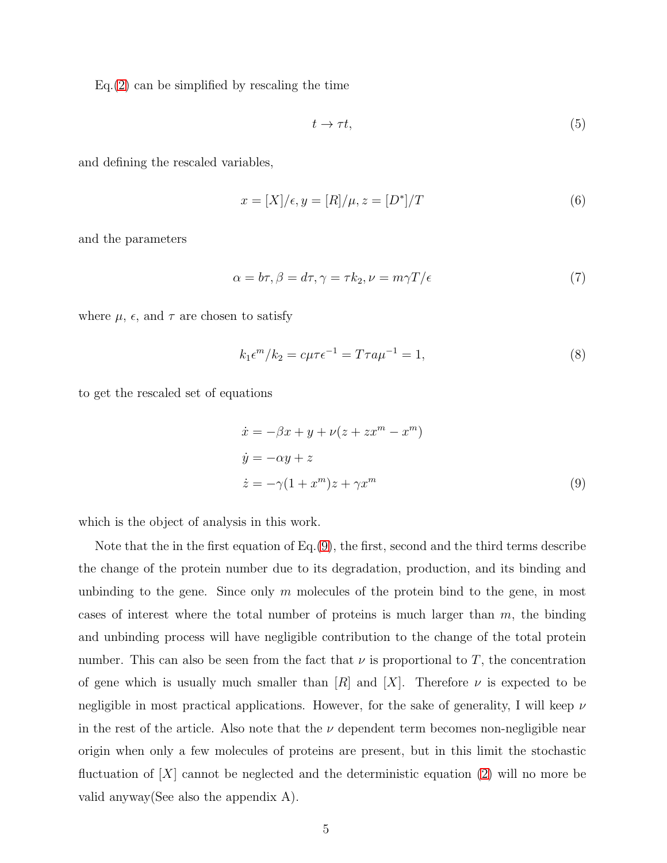$Eq.(2)$  $Eq.(2)$  can be simplified by rescaling the time

$$
t \to \tau t,\tag{5}
$$

and defining the rescaled variables,

$$
x = [X] / \epsilon, y = [R] / \mu, z = [D^*] / T
$$
\n(6)

and the parameters

$$
\alpha = b\tau, \beta = d\tau, \gamma = \tau k_2, \nu = m\gamma T/\epsilon \tag{7}
$$

where  $\mu$ ,  $\epsilon$ , and  $\tau$  are chosen to satisfy

$$
k_1 \epsilon^m / k_2 = c\mu \tau \epsilon^{-1} = T\tau a \mu^{-1} = 1,\tag{8}
$$

to get the rescaled set of equations

<span id="page-4-0"></span>
$$
\begin{aligned}\n\dot{x} &= -\beta x + y + \nu (z + zx^m - x^m) \\
\dot{y} &= -\alpha y + z \\
\dot{z} &= -\gamma (1 + x^m) z + \gamma x^m\n\end{aligned} \tag{9}
$$

which is the object of analysis in this work.

Note that the in the first equation of Eq.[\(9\)](#page-4-0), the first, second and the third terms describe the change of the protein number due to its degradation, production, and its binding and unbinding to the gene. Since only  $m$  molecules of the protein bind to the gene, in most cases of interest where the total number of proteins is much larger than  $m$ , the binding and unbinding process will have negligible contribution to the change of the total protein number. This can also be seen from the fact that  $\nu$  is proportional to T, the concentration of gene which is usually much smaller than  $[R]$  and  $[X]$ . Therefore  $\nu$  is expected to be negligible in most practical applications. However, for the sake of generality, I will keep  $\nu$ in the rest of the article. Also note that the  $\nu$  dependent term becomes non-negligible near origin when only a few molecules of proteins are present, but in this limit the stochastic fluctuation of  $[X]$  cannot be neglected and the deterministic equation [\(2\)](#page-3-0) will no more be valid anyway(See also the appendix A).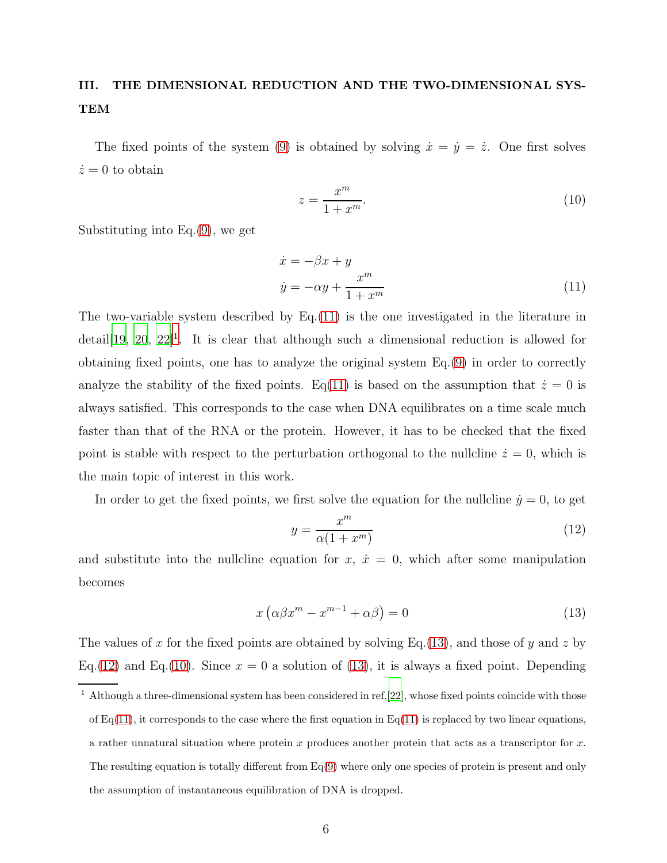## III. THE DIMENSIONAL REDUCTION AND THE TWO-DIMENSIONAL SYS-TEM

The fixed points of the system [\(9\)](#page-4-0) is obtained by solving  $\dot{x} = \dot{y} = \dot{z}$ . One first solves  $\dot{z}=0$  to obtain

<span id="page-5-4"></span>
$$
z = \frac{x^m}{1 + x^m}.\tag{10}
$$

Substituting into Eq.[\(9\)](#page-4-0), we get

<span id="page-5-0"></span>
$$
\begin{aligned}\n\dot{x} &= -\beta x + y\\ \n\dot{y} &= -\alpha y + \frac{x^m}{1 + x^m}\n\end{aligned} \tag{11}
$$

The two-variable system described by  $Eq.(11)$  $Eq.(11)$  is the one investigated in the literature in  $\text{detail}[19, 20, 22]^1$  $\text{detail}[19, 20, 22]^1$  $\text{detail}[19, 20, 22]^1$  $\text{detail}[19, 20, 22]^1$  $\text{detail}[19, 20, 22]^1$  $\text{detail}[19, 20, 22]^1$ . It is clear that although such a dimensional reduction is allowed for obtaining fixed points, one has to analyze the original system Eq.[\(9\)](#page-4-0) in order to correctly analyze the stability of the fixed points. Eq[\(11\)](#page-5-0) is based on the assumption that  $\dot{z} = 0$  is always satisfied. This corresponds to the case when DNA equilibrates on a time scale much faster than that of the RNA or the protein. However, it has to be checked that the fixed point is stable with respect to the perturbation orthogonal to the nullcline  $\dot{z} = 0$ , which is the main topic of interest in this work.

In order to get the fixed points, we first solve the equation for the nullcline  $\dot{y} = 0$ , to get

<span id="page-5-3"></span>
$$
y = \frac{x^m}{\alpha(1 + x^m)}
$$
\n(12)

and substitute into the nullcline equation for  $x, \dot{x} = 0$ , which after some manipulation becomes

<span id="page-5-2"></span>
$$
x\left(\alpha\beta x^{m} - x^{m-1} + \alpha\beta\right) = 0\tag{13}
$$

The values of x for the fixed points are obtained by solving Eq.[\(13\)](#page-5-2), and those of y and z by Eq.[\(12\)](#page-5-3) and Eq.[\(10\)](#page-5-4). Since  $x = 0$  a solution of [\(13\)](#page-5-2), it is always a fixed point. Depending

<span id="page-5-1"></span><sup>1</sup> Although a three-dimensional system has been considered in ref.[\[22](#page-26-1)], whose fixed points coincide with those of  $Eq(11)$  $Eq(11)$ , it corresponds to the case where the first equation in  $Eq(11)$  is replaced by two linear equations, a rather unnatural situation where protein  $x$  produces another protein that acts as a transcriptor for  $x$ . The resulting equation is totally different from  $Eq(9)$  $Eq(9)$  where only one species of protein is present and only the assumption of instantaneous equilibration of DNA is dropped.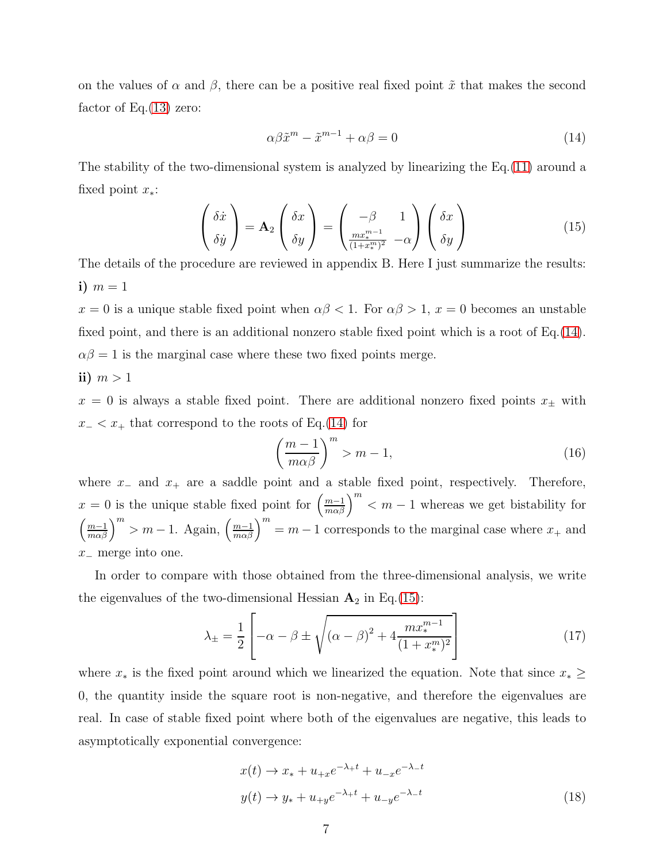on the values of  $\alpha$  and  $\beta$ , there can be a positive real fixed point  $\tilde{x}$  that makes the second factor of Eq. $(13)$  zero:

<span id="page-6-0"></span>
$$
\alpha \beta \tilde{x}^m - \tilde{x}^{m-1} + \alpha \beta = 0 \tag{14}
$$

The stability of the two-dimensional system is analyzed by linearizing the Eq.[\(11\)](#page-5-0) around a fixed point  $x_*$ :

<span id="page-6-1"></span>
$$
\begin{pmatrix}\n\delta \dot{x} \\
\delta \dot{y}\n\end{pmatrix} = \mathbf{A}_2 \begin{pmatrix}\n\delta x \\
\delta y\n\end{pmatrix} = \begin{pmatrix}\n-\beta & 1 \\
\frac{mx^{m-1}}{(1+x^m)^2} & -\alpha\n\end{pmatrix} \begin{pmatrix}\n\delta x \\
\delta y\n\end{pmatrix}
$$
\n(15)

The details of the procedure are reviewed in appendix B. Here I just summarize the results: i)  $m=1$ 

 $x = 0$  is a unique stable fixed point when  $\alpha\beta < 1$ . For  $\alpha\beta > 1$ ,  $x = 0$  becomes an unstable fixed point, and there is an additional nonzero stable fixed point which is a root of Eq.[\(14\)](#page-6-0).  $\alpha\beta = 1$  is the marginal case where these two fixed points merge.

## ii)  $m > 1$

 $x = 0$  is always a stable fixed point. There are additional nonzero fixed points  $x_{\pm}$  with  $x<sub>-</sub> < x<sub>+</sub>$  that correspond to the roots of Eq.[\(14\)](#page-6-0) for

<span id="page-6-3"></span>
$$
\left(\frac{m-1}{m\alpha\beta}\right)^m > m-1,\tag{16}
$$

where  $x_$  and  $x_+$  are a saddle point and a stable fixed point, respectively. Therefore,  $x = 0$  is the unique stable fixed point for  $\left(\frac{m-1}{m\alpha\beta}\right)^m < m-1$  whereas we get bistability for  $\left(\frac{m-1}{m\alpha\beta}\right)^m > m-1$ . Again,  $\left(\frac{m-1}{m\alpha\beta}\right)^m = m-1$  corresponds to the marginal case where  $x_+$  and x<sup>−</sup> merge into one.

In order to compare with those obtained from the three-dimensional analysis, we write the eigenvalues of the two-dimensional Hessian  $A_2$  in Eq.[\(15\)](#page-6-1):

<span id="page-6-2"></span>
$$
\lambda_{\pm} = \frac{1}{2} \left[ -\alpha - \beta \pm \sqrt{(\alpha - \beta)^2 + 4 \frac{mx_*^{m-1}}{(1 + x_*^m)^2}} \right] \tag{17}
$$

where  $x_*$  is the fixed point around which we linearized the equation. Note that since  $x_* \geq$ 0, the quantity inside the square root is non-negative, and therefore the eigenvalues are real. In case of stable fixed point where both of the eigenvalues are negative, this leads to asymptotically exponential convergence:

$$
x(t) \to x_* + u_{+x}e^{-\lambda_{+}t} + u_{-x}e^{-\lambda_{-}t}
$$
  

$$
y(t) \to y_* + u_{+y}e^{-\lambda_{+}t} + u_{-y}e^{-\lambda_{-}t}
$$
 (18)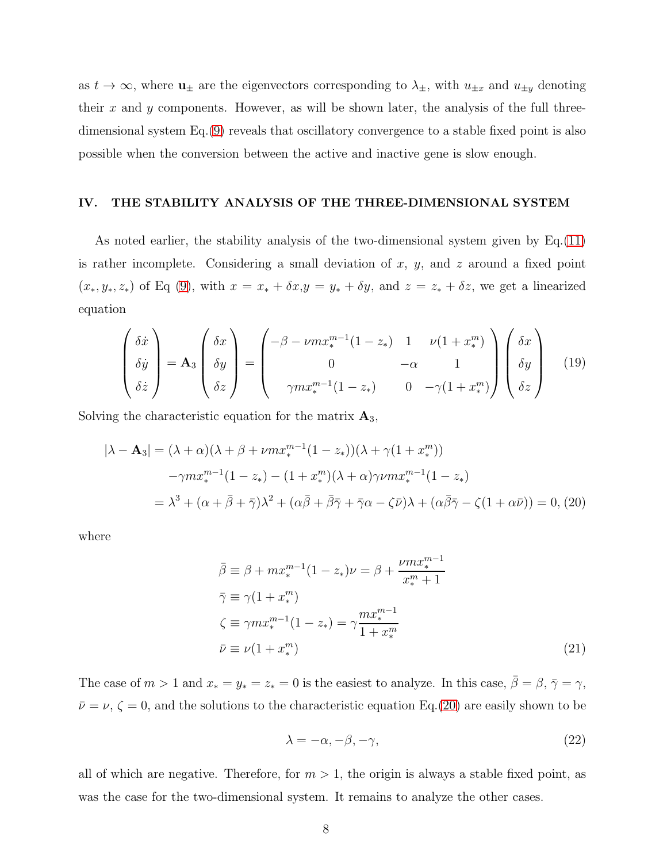as  $t \to \infty$ , where  $u_{\pm}$  are the eigenvectors corresponding to  $\lambda_{\pm}$ , with  $u_{\pm x}$  and  $u_{\pm y}$  denoting their x and y components. However, as will be shown later, the analysis of the full threedimensional system Eq.[\(9\)](#page-4-0) reveals that oscillatory convergence to a stable fixed point is also possible when the conversion between the active and inactive gene is slow enough.

#### IV. THE STABILITY ANALYSIS OF THE THREE-DIMENSIONAL SYSTEM

As noted earlier, the stability analysis of the two-dimensional system given by Eq.[\(11\)](#page-5-0) is rather incomplete. Considering a small deviation of  $x, y$ , and  $z$  around a fixed point  $(x_*, y_*, z_*)$  of Eq [\(9\)](#page-4-0), with  $x = x_* + \delta x, y = y_* + \delta y$ , and  $z = z_* + \delta z$ , we get a linearized equation

$$
\begin{pmatrix}\n\delta \dot{x} \\
\delta \dot{y} \\
\delta \dot{z}\n\end{pmatrix} = \mathbf{A}_3 \begin{pmatrix}\n\delta x \\
\delta y \\
\delta z\n\end{pmatrix} = \begin{pmatrix}\n-\beta - \nu m x_*^{m-1} (1 - z_*) & 1 & \nu (1 + x_*^m) \\
0 & -\alpha & 1 \\
\gamma m x_*^{m-1} (1 - z_*) & 0 & -\gamma (1 + x_*^m)\n\end{pmatrix} \begin{pmatrix}\n\delta x \\
\delta y \\
\delta z\n\end{pmatrix}
$$
\n(19)

Solving the characteristic equation for the matrix  $\mathbf{A}_3$ ,

<span id="page-7-0"></span>
$$
|\lambda - \mathbf{A}_3| = (\lambda + \alpha)(\lambda + \beta + \nu m x_*^{m-1} (1 - z_*)) (\lambda + \gamma (1 + x_*^m))
$$
  

$$
-\gamma m x_*^{m-1} (1 - z_*) - (1 + x_*^m)(\lambda + \alpha) \gamma \nu m x_*^{m-1} (1 - z_*)
$$
  

$$
= \lambda^3 + (\alpha + \bar{\beta} + \bar{\gamma}) \lambda^2 + (\alpha \bar{\beta} + \bar{\beta} \bar{\gamma} + \bar{\gamma} \alpha - \zeta \bar{\nu}) \lambda + (\alpha \bar{\beta} \bar{\gamma} - \zeta (1 + \alpha \bar{\nu})) = 0, (20)
$$

where

$$
\bar{\beta} \equiv \beta + mx_*^{m-1} (1 - z_*) \nu = \beta + \frac{\nu mx_*^{m-1}}{x_*^m + 1}
$$
  
\n
$$
\bar{\gamma} \equiv \gamma (1 + x_*^m)
$$
  
\n
$$
\zeta \equiv \gamma mx_*^{m-1} (1 - z_*) = \gamma \frac{mx_*^{m-1}}{1 + x_*^m}
$$
  
\n
$$
\bar{\nu} \equiv \nu (1 + x_*^m)
$$
\n(21)

The case of  $m > 1$  and  $x_* = y_* = z_* = 0$  is the easiest to analyze. In this case,  $\bar{\beta} = \beta, \bar{\gamma} = \gamma$ ,  $\bar{\nu} = \nu, \zeta = 0$ , and the solutions to the characteristic equation Eq.[\(20\)](#page-7-0) are easily shown to be

$$
\lambda = -\alpha, -\beta, -\gamma,\tag{22}
$$

all of which are negative. Therefore, for  $m > 1$ , the origin is always a stable fixed point, as was the case for the two-dimensional system. It remains to analyze the other cases.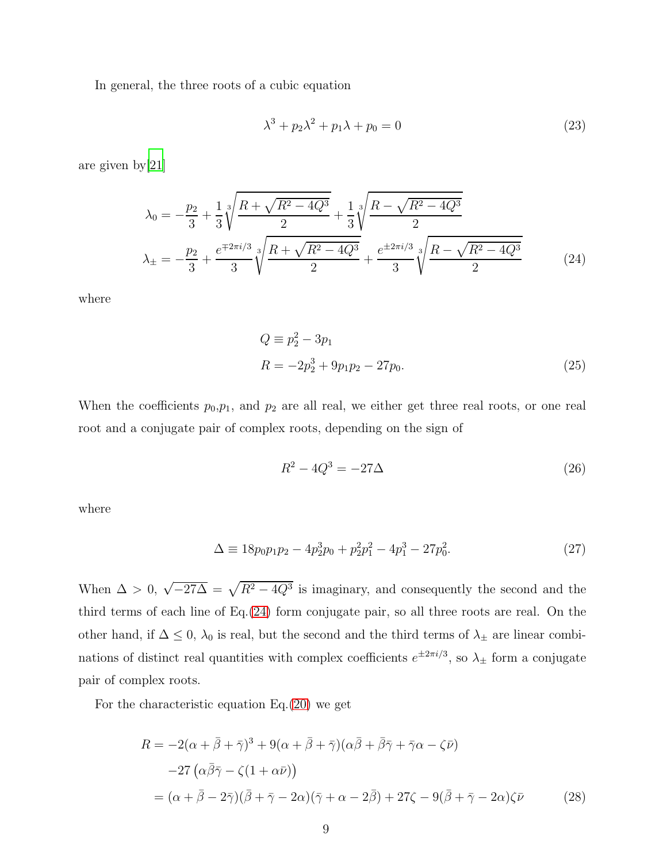In general, the three roots of a cubic equation

$$
\lambda^3 + p_2 \lambda^2 + p_1 \lambda + p_0 = 0 \tag{23}
$$

are given by[\[21](#page-26-2)]

<span id="page-8-0"></span>
$$
\lambda_0 = -\frac{p_2}{3} + \frac{1}{3} \sqrt[3]{\frac{R + \sqrt{R^2 - 4Q^3}}{2}} + \frac{1}{3} \sqrt[3]{\frac{R - \sqrt{R^2 - 4Q^3}}{2}}
$$
\n
$$
\lambda_{\pm} = -\frac{p_2}{3} + \frac{e^{\mp 2\pi i/3}}{3} \sqrt[3]{\frac{R + \sqrt{R^2 - 4Q^3}}{2}} + \frac{e^{\pm 2\pi i/3}}{3} \sqrt[3]{\frac{R - \sqrt{R^2 - 4Q^3}}{2}} \tag{24}
$$

where

$$
Q \equiv p_2^2 - 3p_1
$$
  
\n
$$
R = -2p_2^3 + 9p_1p_2 - 27p_0.
$$
\n(25)

When the coefficients  $p_0, p_1$ , and  $p_2$  are all real, we either get three real roots, or one real root and a conjugate pair of complex roots, depending on the sign of

$$
R^2 - 4Q^3 = -27\Delta\tag{26}
$$

where

$$
\Delta \equiv 18p_0p_1p_2 - 4p_2^3p_0 + p_2^2p_1^2 - 4p_1^3 - 27p_0^2. \tag{27}
$$

When  $\Delta > 0$ ,  $\sqrt{-27\Delta} = \sqrt{R^2 - 4Q^3}$  is imaginary, and consequently the second and the third terms of each line of Eq.[\(24\)](#page-8-0) form conjugate pair, so all three roots are real. On the other hand, if  $\Delta \leq 0$ ,  $\lambda_0$  is real, but the second and the third terms of  $\lambda_{\pm}$  are linear combinations of distinct real quantities with complex coefficients  $e^{\pm 2\pi i/3}$ , so  $\lambda_{\pm}$  form a conjugate pair of complex roots.

For the characteristic equation  $Eq.(20)$  $Eq.(20)$  we get

<span id="page-8-1"></span>
$$
R = -2(\alpha + \bar{\beta} + \bar{\gamma})^3 + 9(\alpha + \bar{\beta} + \bar{\gamma})(\alpha\bar{\beta} + \bar{\beta}\bar{\gamma} + \bar{\gamma}\alpha - \zeta\bar{\nu})
$$
  
\n
$$
-27(\alpha\bar{\beta}\bar{\gamma} - \zeta(1 + \alpha\bar{\nu}))
$$
  
\n
$$
= (\alpha + \bar{\beta} - 2\bar{\gamma})(\bar{\beta} + \bar{\gamma} - 2\alpha)(\bar{\gamma} + \alpha - 2\bar{\beta}) + 27\zeta - 9(\bar{\beta} + \bar{\gamma} - 2\alpha)\zeta\bar{\nu}
$$
 (28)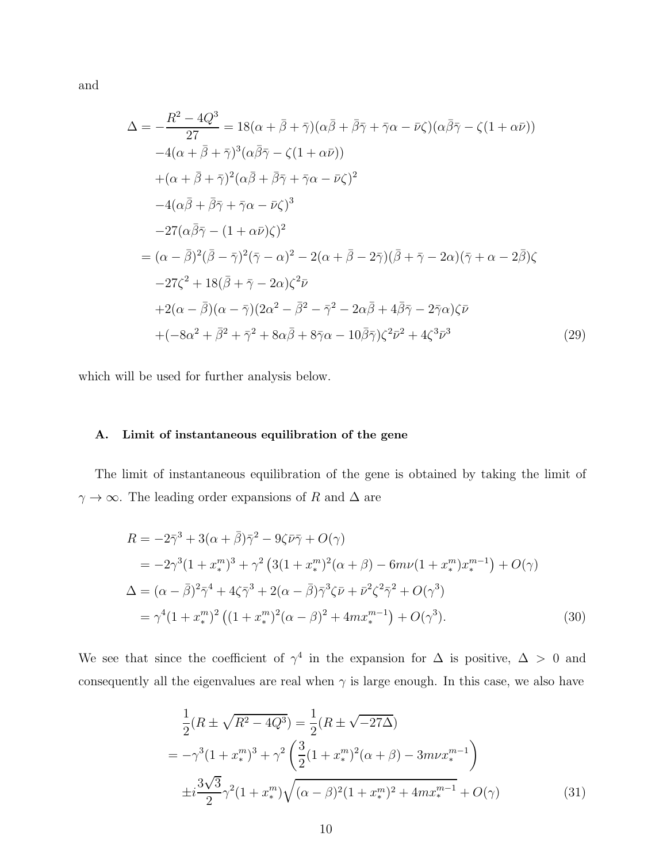and

<span id="page-9-0"></span>
$$
\Delta = -\frac{R^2 - 4Q^3}{27} = 18(\alpha + \bar{\beta} + \bar{\gamma})(\alpha\bar{\beta} + \bar{\beta}\bar{\gamma} + \bar{\gamma}\alpha - \bar{\nu}\zeta)(\alpha\bar{\beta}\bar{\gamma} - \zeta(1 + \alpha\bar{\nu}))
$$
  
\n
$$
-4(\alpha + \bar{\beta} + \bar{\gamma})^3(\alpha\bar{\beta}\bar{\gamma} - \zeta(1 + \alpha\bar{\nu}))
$$
  
\n
$$
+(\alpha + \bar{\beta} + \bar{\gamma})^2(\alpha\bar{\beta} + \bar{\beta}\bar{\gamma} + \bar{\gamma}\alpha - \bar{\nu}\zeta)^2
$$
  
\n
$$
-4(\alpha\bar{\beta} + \bar{\beta}\bar{\gamma} + \bar{\gamma}\alpha - \bar{\nu}\zeta)^3
$$
  
\n
$$
-27(\alpha\bar{\beta}\bar{\gamma} - (1 + \alpha\bar{\nu})\zeta)^2
$$
  
\n
$$
= (\alpha - \bar{\beta})^2(\bar{\beta} - \bar{\gamma})^2(\bar{\gamma} - \alpha)^2 - 2(\alpha + \bar{\beta} - 2\bar{\gamma})(\bar{\beta} + \bar{\gamma} - 2\alpha)(\bar{\gamma} + \alpha - 2\bar{\beta})\zeta
$$
  
\n
$$
-27\zeta^2 + 18(\bar{\beta} + \bar{\gamma} - 2\alpha)\zeta^2\bar{\nu}
$$
  
\n
$$
+2(\alpha - \bar{\beta})(\alpha - \bar{\gamma})(2\alpha^2 - \bar{\beta}^2 - \bar{\gamma}^2 - 2\alpha\bar{\beta} + 4\bar{\beta}\bar{\gamma} - 2\bar{\gamma}\alpha)\zeta\bar{\nu}
$$
  
\n
$$
+(-8\alpha^2 + \bar{\beta}^2 + \bar{\gamma}^2 + 8\alpha\bar{\beta} + 8\bar{\gamma}\alpha - 10\bar{\beta}\bar{\gamma})\zeta^2\bar{\nu}^2 + 4\zeta^3\bar{\nu}^3
$$
 (29)

which will be used for further analysis below.

## A. Limit of instantaneous equilibration of the gene

The limit of instantaneous equilibration of the gene is obtained by taking the limit of  $\gamma\rightarrow\infty.$  The leading order expansions of  $R$  and  $\Delta$  are

$$
R = -2\bar{\gamma}^3 + 3(\alpha + \bar{\beta})\bar{\gamma}^2 - 9\zeta\bar{\nu}\bar{\gamma} + O(\gamma)
$$
  
=  $-2\gamma^3(1 + x_*^m)^3 + \gamma^2(3(1 + x_*^m)^2(\alpha + \beta) - 6m\nu(1 + x_*^m)x_*^{m-1}) + O(\gamma)$   

$$
\Delta = (\alpha - \bar{\beta})^2\bar{\gamma}^4 + 4\zeta\bar{\gamma}^3 + 2(\alpha - \bar{\beta})\bar{\gamma}^3\zeta\bar{\nu} + \bar{\nu}^2\zeta^2\bar{\gamma}^2 + O(\gamma^3)
$$
  

$$
= \gamma^4(1 + x_*^m)^2((1 + x_*^m)^2(\alpha - \beta)^2 + 4mx_*^{m-1}) + O(\gamma^3).
$$
 (30)

We see that since the coefficient of  $\gamma^4$  in the expansion for  $\Delta$  is positive,  $\Delta > 0$  and consequently all the eigenvalues are real when  $\gamma$  is large enough. In this case, we also have

$$
\frac{1}{2}(R \pm \sqrt{R^2 - 4Q^3}) = \frac{1}{2}(R \pm \sqrt{-27\Delta})
$$
\n
$$
= -\gamma^3 (1 + x_*^m)^3 + \gamma^2 \left(\frac{3}{2}(1 + x_*^m)^2(\alpha + \beta) - 3m\nu x_*^{m-1}\right)
$$
\n
$$
\pm i \frac{3\sqrt{3}}{2}\gamma^2 (1 + x_*^m)\sqrt{(\alpha - \beta)^2 (1 + x_*^m)^2 + 4m x_*^{m-1}} + O(\gamma)
$$
\n(31)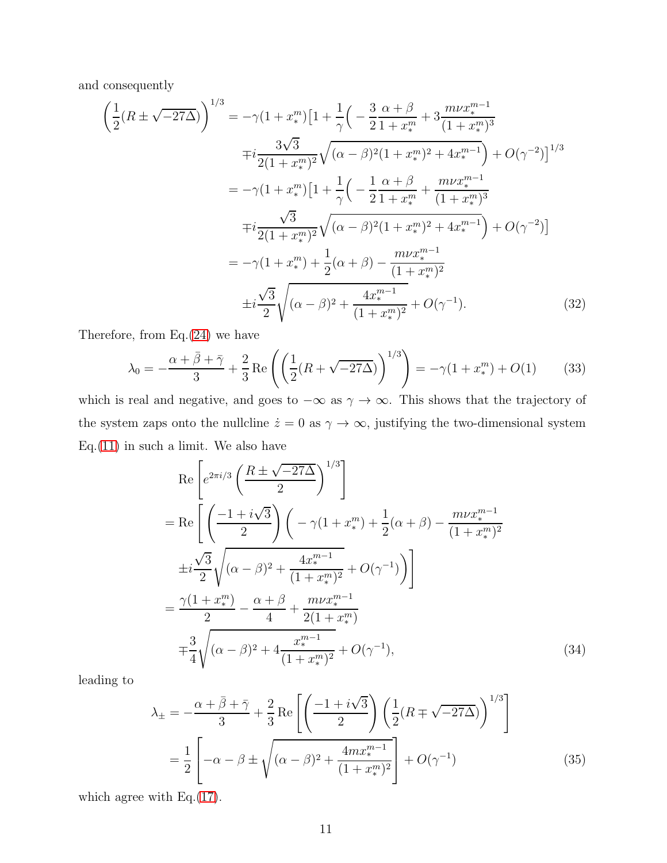and consequently

$$
\left(\frac{1}{2}(R \pm \sqrt{-27\Delta})\right)^{1/3} = -\gamma (1 + x_*^m) \left[1 + \frac{1}{\gamma} \left(-\frac{3}{2} \frac{\alpha + \beta}{1 + x_*^m} + 3 \frac{m\nu x_*^{m-1}}{(1 + x_*^m)^3}\right)\right]
$$

$$
\mp i \frac{3\sqrt{3}}{2(1 + x_*^m)^2} \sqrt{(\alpha - \beta)^2 (1 + x_*^m)^2 + 4x_*^{m-1}} + O(\gamma^{-2})\right]^{1/3}
$$

$$
= -\gamma (1 + x_*^m) \left[1 + \frac{1}{\gamma} \left(-\frac{1}{2} \frac{\alpha + \beta}{1 + x_*^m} + \frac{m\nu x_*^{m-1}}{(1 + x_*^m)^3}\right)\right]
$$

$$
\mp i \frac{\sqrt{3}}{2(1 + x_*^m)^2} \sqrt{(\alpha - \beta)^2 (1 + x_*^m)^2 + 4x_*^{m-1}} + O(\gamma^{-2})\right]
$$

$$
= -\gamma (1 + x_*^m) + \frac{1}{2} (\alpha + \beta) - \frac{m\nu x_*^{m-1}}{(1 + x_*^m)^2}
$$

$$
\pm i \frac{\sqrt{3}}{2} \sqrt{(\alpha - \beta)^2 + \frac{4x_*^{m-1}}{(1 + x_*^m)^2}} + O(\gamma^{-1}). \tag{32}
$$

Therefore, from  $Eq.(24)$  $Eq.(24)$  we have

$$
\lambda_0 = -\frac{\alpha + \bar{\beta} + \bar{\gamma}}{3} + \frac{2}{3} \operatorname{Re} \left( \left( \frac{1}{2} (R + \sqrt{-27\Delta}) \right)^{1/3} \right) = -\gamma (1 + x_*^m) + O(1) \tag{33}
$$

which is real and negative, and goes to  $-\infty$  as  $\gamma \to \infty$ . This shows that the trajectory of the system zaps onto the nullcline  $\dot{z} = 0$  as  $\gamma \to \infty$ , justifying the two-dimensional system  $Eq.(11)$  $Eq.(11)$  in such a limit. We also have

$$
\operatorname{Re}\left[e^{2\pi i/3}\left(\frac{R\pm\sqrt{-27\Delta}}{2}\right)^{1/3}\right]
$$
\n
$$
= \operatorname{Re}\left[\left(\frac{-1+i\sqrt{3}}{2}\right)\left(-\gamma(1+x_{*}^{m}) + \frac{1}{2}(\alpha+\beta) - \frac{m\nu x_{*}^{m-1}}{(1+x_{*}^{m})^{2}}\right)\right]
$$
\n
$$
\pm i\frac{\sqrt{3}}{2}\sqrt{(\alpha-\beta)^{2} + \frac{4x_{*}^{m-1}}{(1+x_{*}^{m})^{2}} + O(\gamma^{-1})}\right]
$$
\n
$$
= \frac{\gamma(1+x_{*}^{m})}{2} - \frac{\alpha+\beta}{4} + \frac{m\nu x_{*}^{m-1}}{2(1+x_{*}^{m})}
$$
\n
$$
\mp\frac{3}{4}\sqrt{(\alpha-\beta)^{2} + 4\frac{x_{*}^{m-1}}{(1+x_{*}^{m})^{2}} + O(\gamma^{-1})},
$$
\n(34)

leading to

$$
\lambda_{\pm} = -\frac{\alpha + \bar{\beta} + \bar{\gamma}}{3} + \frac{2}{3} \operatorname{Re} \left[ \left( \frac{-1 + i\sqrt{3}}{2} \right) \left( \frac{1}{2} (R \mp \sqrt{-27\Delta}) \right)^{1/3} \right]
$$

$$
= \frac{1}{2} \left[ -\alpha - \beta \pm \sqrt{(\alpha - \beta)^2 + \frac{4mx_*^{m-1}}{(1 + x_*^m)^2}} \right] + O(\gamma^{-1}) \tag{35}
$$

which agree with Eq.[\(17\)](#page-6-2).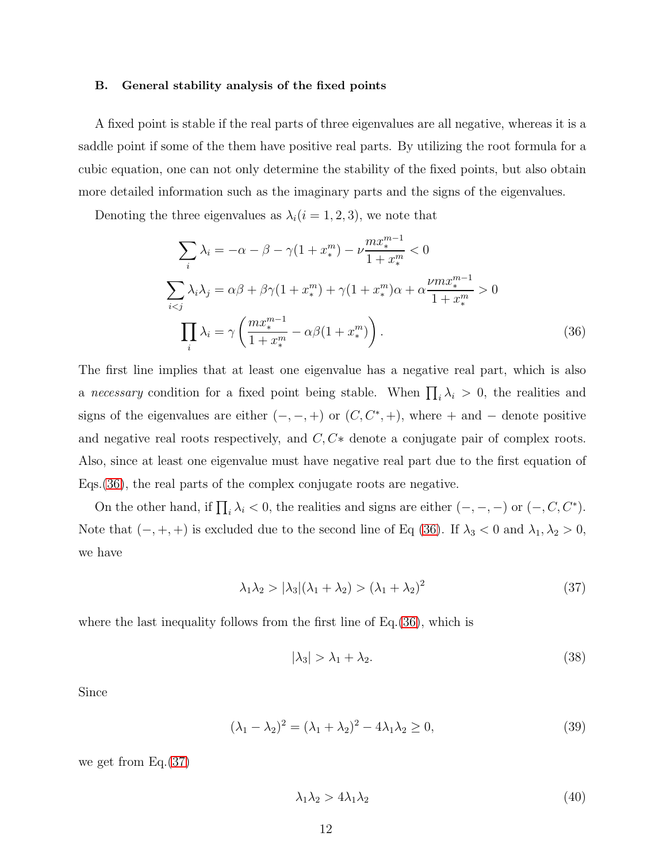#### B. General stability analysis of the fixed points

A fixed point is stable if the real parts of three eigenvalues are all negative, whereas it is a saddle point if some of the them have positive real parts. By utilizing the root formula for a cubic equation, one can not only determine the stability of the fixed points, but also obtain more detailed information such as the imaginary parts and the signs of the eigenvalues.

Denoting the three eigenvalues as  $\lambda_i$  ( $i = 1, 2, 3$ ), we note that

<span id="page-11-0"></span>
$$
\sum_{i} \lambda_{i} = -\alpha - \beta - \gamma (1 + x_{*}^{m}) - \nu \frac{mx_{*}^{m-1}}{1 + x_{*}^{m}} < 0
$$
  

$$
\sum_{i < j} \lambda_{i} \lambda_{j} = \alpha \beta + \beta \gamma (1 + x_{*}^{m}) + \gamma (1 + x_{*}^{m}) \alpha + \alpha \frac{\nu mx_{*}^{m-1}}{1 + x_{*}^{m}} > 0
$$
  

$$
\prod_{i} \lambda_{i} = \gamma \left( \frac{mx_{*}^{m-1}}{1 + x_{*}^{m}} - \alpha \beta (1 + x_{*}^{m}) \right).
$$
 (36)

The first line implies that at least one eigenvalue has a negative real part, which is also a necessary condition for a fixed point being stable. When  $\prod_i \lambda_i > 0$ , the realities and signs of the eigenvalues are either  $(-,-,+)$  or  $(C, C^*,+)$ , where  $+$  and  $-$  denote positive and negative real roots respectively, and  $C, C*$  denote a conjugate pair of complex roots. Also, since at least one eigenvalue must have negative real part due to the first equation of Eqs.[\(36\)](#page-11-0), the real parts of the complex conjugate roots are negative.

On the other hand, if  $\prod_i \lambda_i < 0$ , the realities and signs are either  $(-, -, -)$  or  $(-, C, C^*)$ . Note that  $(-, +, +)$  is excluded due to the second line of Eq [\(36\)](#page-11-0). If  $\lambda_3 < 0$  and  $\lambda_1, \lambda_2 > 0$ , we have

<span id="page-11-1"></span>
$$
\lambda_1 \lambda_2 > |\lambda_3|(\lambda_1 + \lambda_2) > (\lambda_1 + \lambda_2)^2 \tag{37}
$$

where the last inequality follows from the first line of Eq.  $(36)$ , which is

$$
|\lambda_3| > \lambda_1 + \lambda_2. \tag{38}
$$

Since

$$
(\lambda_1 - \lambda_2)^2 = (\lambda_1 + \lambda_2)^2 - 4\lambda_1 \lambda_2 \ge 0,
$$
\n(39)

we get from Eq.[\(37\)](#page-11-1)

$$
\lambda_1 \lambda_2 > 4\lambda_1 \lambda_2 \tag{40}
$$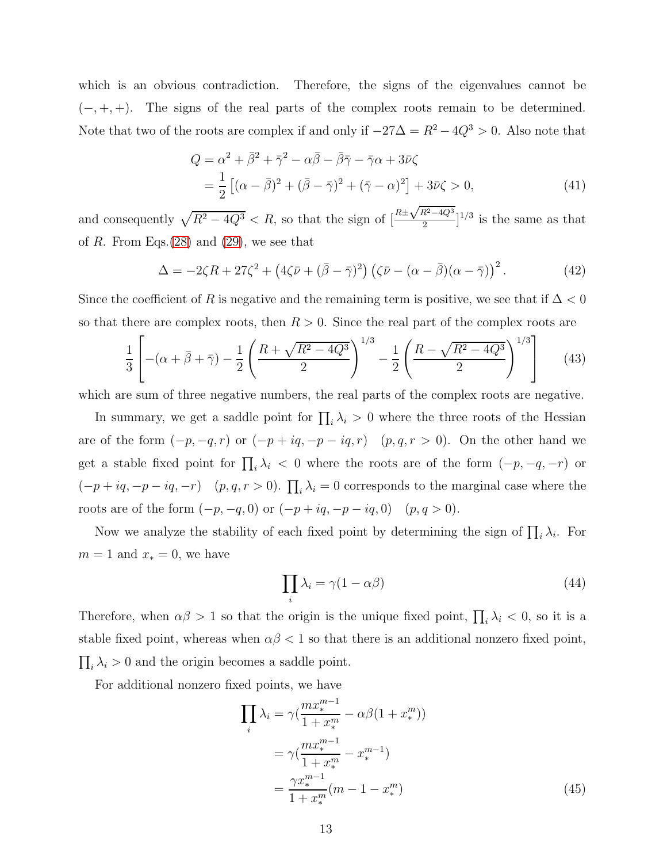which is an obvious contradiction. Therefore, the signs of the eigenvalues cannot be  $(-, +, +)$ . The signs of the real parts of the complex roots remain to be determined. Note that two of the roots are complex if and only if  $-27\Delta = R^2 - 4Q^3 > 0$ . Also note that

$$
Q = \alpha^2 + \overline{\beta}^2 + \overline{\gamma}^2 - \alpha \overline{\beta} - \overline{\beta} \overline{\gamma} - \overline{\gamma} \alpha + 3\overline{\nu}\zeta
$$
  
= 
$$
\frac{1}{2} \left[ (\alpha - \overline{\beta})^2 + (\overline{\beta} - \overline{\gamma})^2 + (\overline{\gamma} - \alpha)^2 \right] + 3\overline{\nu}\zeta > 0,
$$
 (41)

and consequently  $\sqrt{R^2 - 4Q^3} < R$ , so that the sign of  $\left[\frac{R \pm \sqrt{R^2 - 4Q^3}}{2}\right]$  $\left[\frac{R^2-4Q^3}{2}\right]^{1/3}$  is the same as that of R. From Eqs. $(28)$  and  $(29)$ , we see that

$$
\Delta = -2\zeta R + 27\zeta^2 + \left(4\zeta \bar{\nu} + (\bar{\beta} - \bar{\gamma})^2\right) \left(\zeta \bar{\nu} - (\alpha - \bar{\beta})(\alpha - \bar{\gamma})\right)^2. \tag{42}
$$

Since the coefficient of R is negative and the remaining term is positive, we see that if  $\Delta < 0$ so that there are complex roots, then  $R > 0$ . Since the real part of the complex roots are

$$
\frac{1}{3} \left[ -(\alpha + \bar{\beta} + \bar{\gamma}) - \frac{1}{2} \left( \frac{R + \sqrt{R^2 - 4Q^3}}{2} \right)^{1/3} - \frac{1}{2} \left( \frac{R - \sqrt{R^2 - 4Q^3}}{2} \right)^{1/3} \right] \tag{43}
$$

which are sum of three negative numbers, the real parts of the complex roots are negative.

In summary, we get a saddle point for  $\prod_i \lambda_i > 0$  where the three roots of the Hessian are of the form  $(-p, -q, r)$  or  $(-p + iq, -p - iq, r)$   $(p, q, r > 0)$ . On the other hand we get a stable fixed point for  $\prod_i \lambda_i < 0$  where the roots are of the form  $(-p, -q, -r)$  or  $(-p+iq, -p-iq, -r)$   $(p, q, r > 0)$ .  $\prod_i \lambda_i = 0$  corresponds to the marginal case where the roots are of the form  $(-p, -q, 0)$  or  $(-p + iq, -p - iq, 0)$   $(p, q > 0)$ .

Now we analyze the stability of each fixed point by determining the sign of  $\prod_i \lambda_i$ . For  $m = 1$  and  $x_* = 0$ , we have

$$
\prod_{i} \lambda_i = \gamma (1 - \alpha \beta) \tag{44}
$$

Therefore, when  $\alpha\beta > 1$  so that the origin is the unique fixed point,  $\prod_i \lambda_i < 0$ , so it is a stable fixed point, whereas when  $\alpha\beta$  < 1 so that there is an additional nonzero fixed point,  $\prod_i \lambda_i > 0$  and the origin becomes a saddle point.

For additional nonzero fixed points, we have

$$
\prod_{i} \lambda_{i} = \gamma \left( \frac{mx_{*}^{m-1}}{1+x_{*}^{m}} - \alpha \beta (1+x_{*}^{m}) \right)
$$
\n
$$
= \gamma \left( \frac{mx_{*}^{m-1}}{1+x_{*}^{m}} - x_{*}^{m-1} \right)
$$
\n
$$
= \frac{\gamma x_{*}^{m-1}}{1+x_{*}^{m}} (m-1-x_{*}^{m}) \tag{45}
$$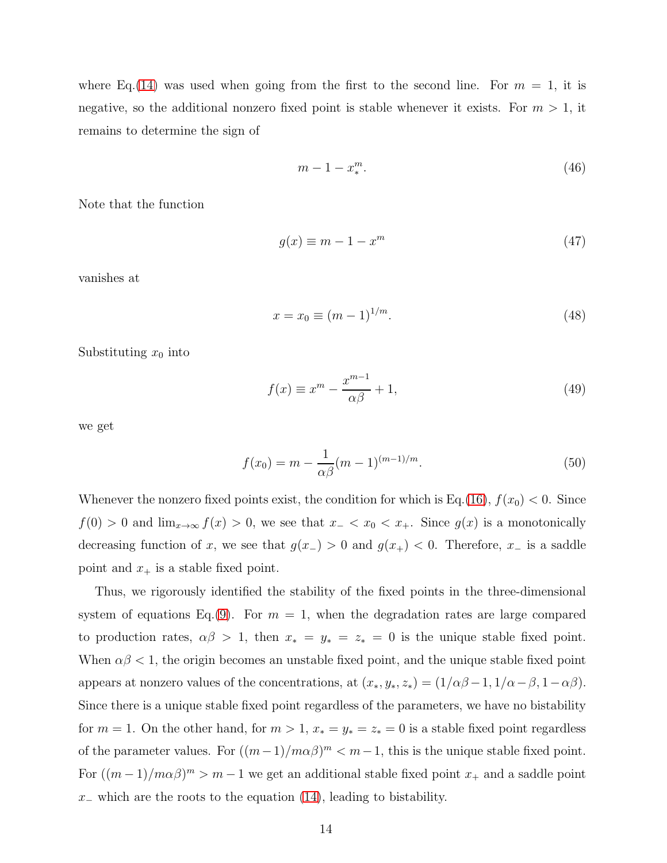where Eq.[\(14\)](#page-6-0) was used when going from the first to the second line. For  $m = 1$ , it is negative, so the additional nonzero fixed point is stable whenever it exists. For  $m > 1$ , it remains to determine the sign of

$$
m-1-x_*^m.\tag{46}
$$

Note that the function

$$
g(x) \equiv m - 1 - x^m \tag{47}
$$

vanishes at

$$
x = x_0 \equiv (m-1)^{1/m}.
$$
 (48)

Substituting  $x_0$  into

$$
f(x) \equiv x^m - \frac{x^{m-1}}{\alpha \beta} + 1,\tag{49}
$$

we get

$$
f(x_0) = m - \frac{1}{\alpha \beta} (m - 1)^{(m - 1)/m}.
$$
 (50)

Whenever the nonzero fixed points exist, the condition for which is Eq.[\(16\)](#page-6-3),  $f(x_0) < 0$ . Since  $f(0) > 0$  and  $\lim_{x \to \infty} f(x) > 0$ , we see that  $x_- < x_0 < x_+$ . Since  $g(x)$  is a monotonically decreasing function of x, we see that  $g(x<sub>-</sub>) > 0$  and  $g(x<sub>+</sub>) < 0$ . Therefore, x<sub>-</sub> is a saddle point and  $x_+$  is a stable fixed point.

Thus, we rigorously identified the stability of the fixed points in the three-dimensional system of equations Eq.[\(9\)](#page-4-0). For  $m = 1$ , when the degradation rates are large compared to production rates,  $\alpha\beta > 1$ , then  $x_* = y_* = z_* = 0$  is the unique stable fixed point. When  $\alpha\beta$  < 1, the origin becomes an unstable fixed point, and the unique stable fixed point appears at nonzero values of the concentrations, at  $(x_*, y_*, z_*) = (1/\alpha\beta - 1, 1/\alpha - \beta, 1 - \alpha\beta)$ . Since there is a unique stable fixed point regardless of the parameters, we have no bistability for  $m = 1$ . On the other hand, for  $m > 1$ ,  $x_* = y_* = z_* = 0$  is a stable fixed point regardless of the parameter values. For  $((m-1)/m\alpha\beta)^m < m-1$ , this is the unique stable fixed point. For  $((m-1)/m\alpha\beta)^m > m-1$  we get an additional stable fixed point  $x_+$  and a saddle point  $x_$  which are the roots to the equation [\(14\)](#page-6-0), leading to bistability.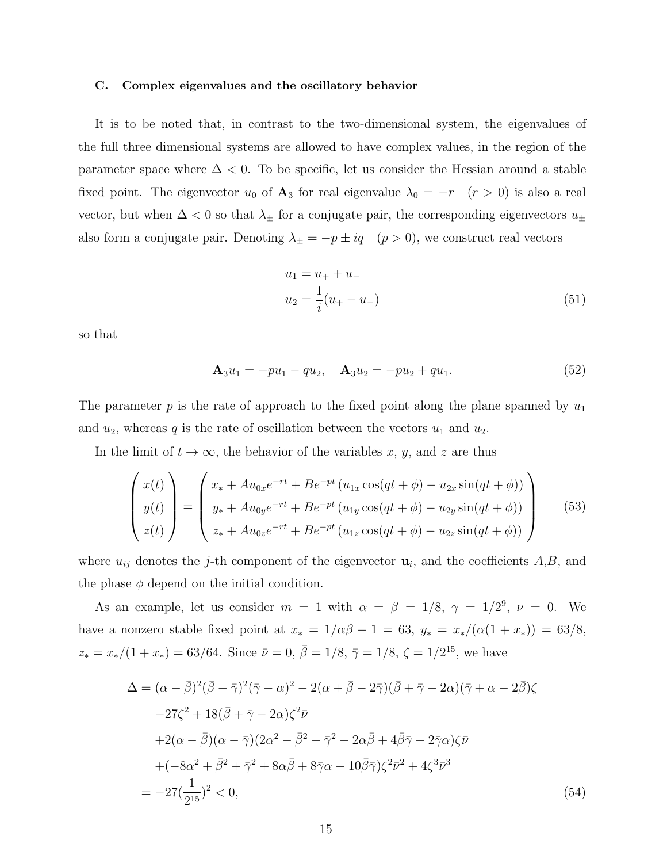#### C. Complex eigenvalues and the oscillatory behavior

It is to be noted that, in contrast to the two-dimensional system, the eigenvalues of the full three dimensional systems are allowed to have complex values, in the region of the parameter space where  $\Delta < 0$ . To be specific, let us consider the Hessian around a stable fixed point. The eigenvector  $u_0$  of  $\mathbf{A}_3$  for real eigenvalue  $\lambda_0 = -r$  ( $r > 0$ ) is also a real vector, but when  $\Delta$  < 0 so that  $\lambda_{\pm}$  for a conjugate pair, the corresponding eigenvectors  $u_{\pm}$ also form a conjugate pair. Denoting  $\lambda_{\pm} = -p \pm iq \quad (p > 0)$ , we construct real vectors

$$
u_1 = u_+ + u_-
$$
  

$$
u_2 = \frac{1}{i}(u_+ - u_-)
$$
 (51)

so that

$$
\mathbf{A}_3 u_1 = -p u_1 - q u_2, \quad \mathbf{A}_3 u_2 = -p u_2 + q u_1. \tag{52}
$$

The parameter p is the rate of approach to the fixed point along the plane spanned by  $u_1$ and  $u_2$ , whereas q is the rate of oscillation between the vectors  $u_1$  and  $u_2$ .

In the limit of  $t \to \infty$ , the behavior of the variables x, y, and z are thus

$$
\begin{pmatrix}\nx(t) \\
y(t) \\
z(t)\n\end{pmatrix} = \begin{pmatrix}\nx_{*} + Au_{0x}e^{-rt} + Be^{-pt}(u_{1x}\cos(qt+\phi) - u_{2x}\sin(qt+\phi)) \\
y_{*} + Au_{0y}e^{-rt} + Be^{-pt}(u_{1y}\cos(qt+\phi) - u_{2y}\sin(qt+\phi)) \\
z_{*} + Au_{0z}e^{-rt} + Be^{-pt}(u_{1z}\cos(qt+\phi) - u_{2z}\sin(qt+\phi))\n\end{pmatrix}
$$
\n(53)

where  $u_{ij}$  denotes the *j*-th component of the eigenvector  $\mathbf{u}_i$ , and the coefficients  $A, B$ , and the phase  $\phi$  depend on the initial condition.

As an example, let us consider  $m = 1$  with  $\alpha = \beta = 1/8$ ,  $\gamma = 1/2^9$ ,  $\nu = 0$ . We have a nonzero stable fixed point at  $x_* = 1/\alpha\beta - 1 = 63$ ,  $y_* = x_*/(\alpha(1 + x_*)) = 63/8$ ,  $z_* = x_*/(1+x_*) = 63/64.$  Since  $\bar{\nu} = 0, \bar{\beta} = 1/8, \bar{\gamma} = 1/8, \zeta = 1/2^{15}$ , we have

$$
\Delta = (\alpha - \bar{\beta})^2 (\bar{\beta} - \bar{\gamma})^2 (\bar{\gamma} - \alpha)^2 - 2(\alpha + \bar{\beta} - 2\bar{\gamma}) (\bar{\beta} + \bar{\gamma} - 2\alpha)(\bar{\gamma} + \alpha - 2\bar{\beta})\zeta \n-27\zeta^2 + 18(\bar{\beta} + \bar{\gamma} - 2\alpha)\zeta^2 \bar{\nu} \n+2(\alpha - \bar{\beta})(\alpha - \bar{\gamma})(2\alpha^2 - \bar{\beta}^2 - \bar{\gamma}^2 - 2\alpha\bar{\beta} + 4\bar{\beta}\bar{\gamma} - 2\bar{\gamma}\alpha)\zeta \bar{\nu} \n+(-8\alpha^2 + \bar{\beta}^2 + \bar{\gamma}^2 + 8\alpha\bar{\beta} + 8\bar{\gamma}\alpha - 10\bar{\beta}\bar{\gamma})\zeta^2 \bar{\nu}^2 + 4\zeta^3 \bar{\nu}^3 \n= -27(\frac{1}{2^{15}})^2 < 0,
$$
\n(54)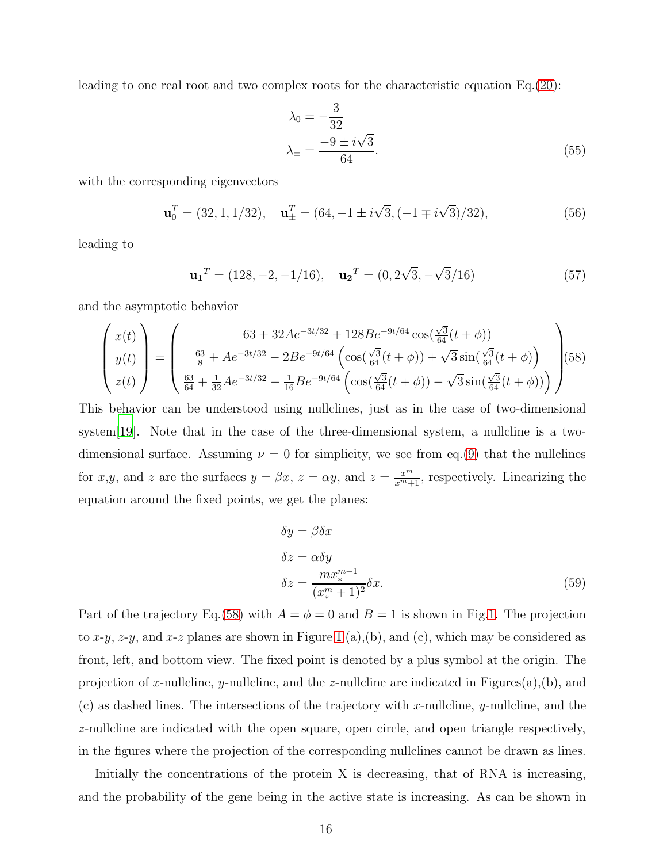leading to one real root and two complex roots for the characteristic equation Eq.[\(20\)](#page-7-0):

$$
\lambda_0 = -\frac{3}{32} \n\lambda_{\pm} = \frac{-9 \pm i\sqrt{3}}{64}.
$$
\n(55)

with the corresponding eigenvectors

$$
\mathbf{u}_0^T = (32, 1, 1/32), \quad \mathbf{u}_\pm^T = (64, -1 \pm i\sqrt{3}, (-1 \mp i\sqrt{3})/32), \tag{56}
$$

leading to

$$
\mathbf{u_1}^T = (128, -2, -1/16), \quad \mathbf{u_2}^T = (0, 2\sqrt{3}, -\sqrt{3}/16) \tag{57}
$$

and the asymptotic behavior

<span id="page-15-0"></span>
$$
\begin{pmatrix} x(t) \\ y(t) \\ z(t) \end{pmatrix} = \begin{pmatrix} 63 + 32Ae^{-3t/32} + 128Be^{-9t/64}\cos(\frac{\sqrt{3}}{64}(t+\phi)) \\ \frac{63}{8} + Ae^{-3t/32} - 2Be^{-9t/64}\left(\cos(\frac{\sqrt{3}}{64}(t+\phi)) + \sqrt{3}\sin(\frac{\sqrt{3}}{64}(t+\phi))\right) \\ \frac{63}{64} + \frac{1}{32}Ae^{-3t/32} - \frac{1}{16}Be^{-9t/64}\left(\cos(\frac{\sqrt{3}}{64}(t+\phi)) - \sqrt{3}\sin(\frac{\sqrt{3}}{64}(t+\phi))\right) \end{pmatrix} (58)
$$

This behavior can be understood using nullclines, just as in the case of two-dimensional system<sup>[\[19\]](#page-25-7)</sup>. Note that in the case of the three-dimensional system, a nullcline is a twodimensional surface. Assuming  $\nu = 0$  for simplicity, we see from eq.[\(9\)](#page-4-0) that the nullclines for x,y, and z are the surfaces  $y = \beta x$ ,  $z = \alpha y$ , and  $z = \frac{x^m}{x^m+1}$ , respectively. Linearizing the equation around the fixed points, we get the planes:

$$
\delta y = \beta \delta x
$$
  
\n
$$
\delta z = \alpha \delta y
$$
  
\n
$$
\delta z = \frac{m x_*^{m-1}}{(x_*^m + 1)^2} \delta x.
$$
\n(59)

Part of the trajectory Eq.[\(58\)](#page-15-0) with  $A = \phi = 0$  and  $B = 1$  is shown in Fig[.1.](#page-16-0) The projection to x-y, z-y, and x-z planes are shown in Figure [1](#page-16-0) (a),(b), and (c), which may be considered as front, left, and bottom view. The fixed point is denoted by a plus symbol at the origin. The projection of x-nullcline, y-nullcline, and the z-nullcline are indicated in Figures $(a)$ , $(b)$ , and  $(c)$  as dashed lines. The intersections of the trajectory with x-nullcline, y-nullcline, and the z-nullcline are indicated with the open square, open circle, and open triangle respectively, in the figures where the projection of the corresponding nullclines cannot be drawn as lines.

Initially the concentrations of the protein X is decreasing, that of RNA is increasing, and the probability of the gene being in the active state is increasing. As can be shown in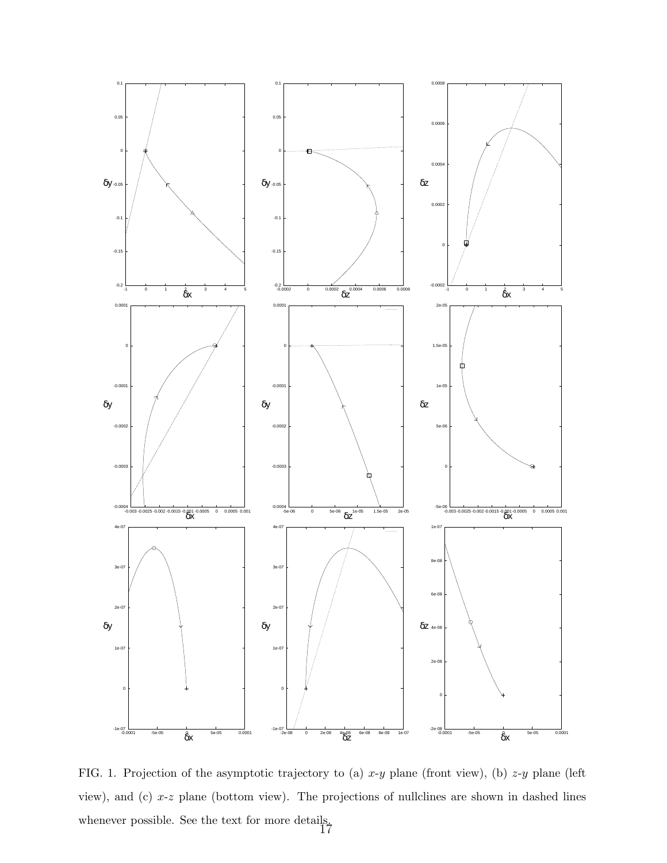

<span id="page-16-0"></span>FIG. 1. Projection of the asymptotic trajectory to (a)  $x-y$  plane (front view), (b)  $z-y$  plane (left view), and (c) x-z plane (bottom view). The projections of nullclines are shown in dashed lines whenever possible. See the text for more details.<br>17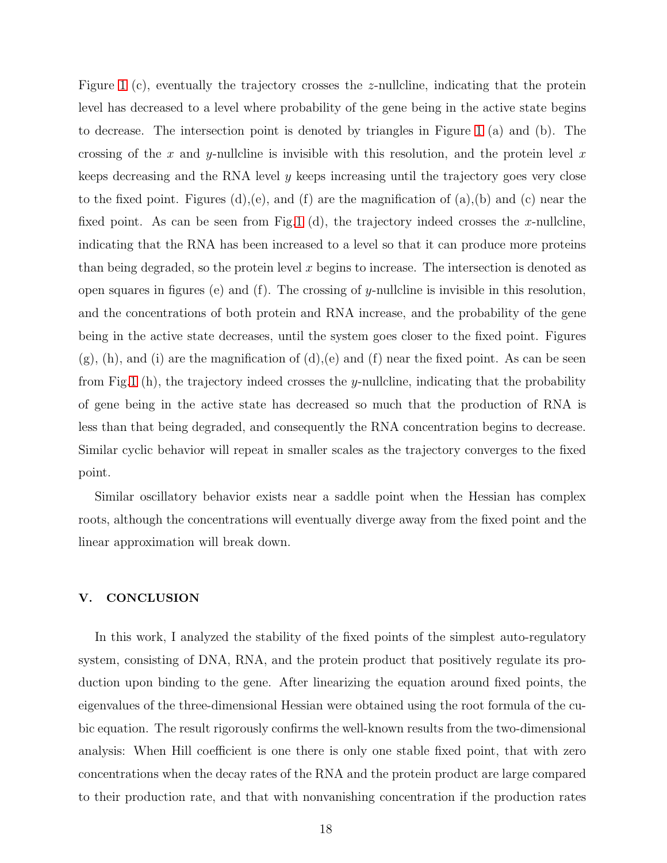Figure [1](#page-16-0) (c), eventually the trajectory crosses the z-nullcline, indicating that the protein level has decreased to a level where probability of the gene being in the active state begins to decrease. The intersection point is denoted by triangles in Figure [1](#page-16-0) (a) and (b). The crossing of the x and y-nullcline is invisible with this resolution, and the protein level x keeps decreasing and the RNA level y keeps increasing until the trajectory goes very close to the fixed point. Figures (d),(e), and (f) are the magnification of (a),(b) and (c) near the fixed point. As can be seen from Fig[.1](#page-16-0) (d), the trajectory indeed crosses the x-nullcline, indicating that the RNA has been increased to a level so that it can produce more proteins than being degraded, so the protein level  $x$  begins to increase. The intersection is denoted as open squares in figures (e) and (f). The crossing of y-nullcline is invisible in this resolution, and the concentrations of both protein and RNA increase, and the probability of the gene being in the active state decreases, until the system goes closer to the fixed point. Figures  $(g)$ , (h), and (i) are the magnification of (d), (e) and (f) near the fixed point. As can be seen from Fig[.1](#page-16-0) (h), the trajectory indeed crosses the y-nullcline, indicating that the probability of gene being in the active state has decreased so much that the production of RNA is less than that being degraded, and consequently the RNA concentration begins to decrease. Similar cyclic behavior will repeat in smaller scales as the trajectory converges to the fixed point.

Similar oscillatory behavior exists near a saddle point when the Hessian has complex roots, although the concentrations will eventually diverge away from the fixed point and the linear approximation will break down.

#### V. CONCLUSION

In this work, I analyzed the stability of the fixed points of the simplest auto-regulatory system, consisting of DNA, RNA, and the protein product that positively regulate its production upon binding to the gene. After linearizing the equation around fixed points, the eigenvalues of the three-dimensional Hessian were obtained using the root formula of the cubic equation. The result rigorously confirms the well-known results from the two-dimensional analysis: When Hill coefficient is one there is only one stable fixed point, that with zero concentrations when the decay rates of the RNA and the protein product are large compared to their production rate, and that with nonvanishing concentration if the production rates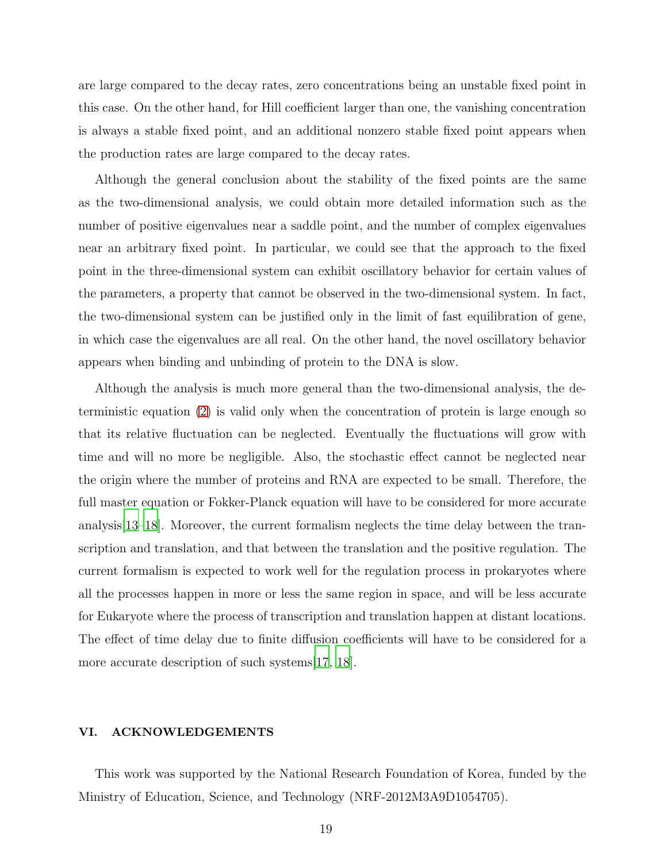are large compared to the decay rates, zero concentrations being an unstable fixed point in this case. On the other hand, for Hill coefficient larger than one, the vanishing concentration is always a stable fixed point, and an additional nonzero stable fixed point appears when the production rates are large compared to the decay rates.

Although the general conclusion about the stability of the fixed points are the same as the two-dimensional analysis, we could obtain more detailed information such as the number of positive eigenvalues near a saddle point, and the number of complex eigenvalues near an arbitrary fixed point. In particular, we could see that the approach to the fixed point in the three-dimensional system can exhibit oscillatory behavior for certain values of the parameters, a property that cannot be observed in the two-dimensional system. In fact, the two-dimensional system can be justified only in the limit of fast equilibration of gene, in which case the eigenvalues are all real. On the other hand, the novel oscillatory behavior appears when binding and unbinding of protein to the DNA is slow.

Although the analysis is much more general than the two-dimensional analysis, the deterministic equation [\(2\)](#page-3-0) is valid only when the concentration of protein is large enough so that its relative fluctuation can be neglected. Eventually the fluctuations will grow with time and will no more be negligible. Also, the stochastic effect cannot be neglected near the origin where the number of proteins and RNA are expected to be small. Therefore, the full master equation or Fokker-Planck equation will have to be considered for more accurate analysis[ $13-18$ ]. Moreover, the current formalism neglects the time delay between the transcription and translation, and that between the translation and the positive regulation. The current formalism is expected to work well for the regulation process in prokaryotes where all the processes happen in more or less the same region in space, and will be less accurate for Eukaryote where the process of transcription and translation happen at distant locations. The effect of time delay due to finite diffusion coefficients will have to be considered for a more accurate description of such systems [\[17](#page-25-9), [18](#page-25-8)].

## VI. ACKNOWLEDGEMENTS

This work was supported by the National Research Foundation of Korea, funded by the Ministry of Education, Science, and Technology (NRF-2012M3A9D1054705).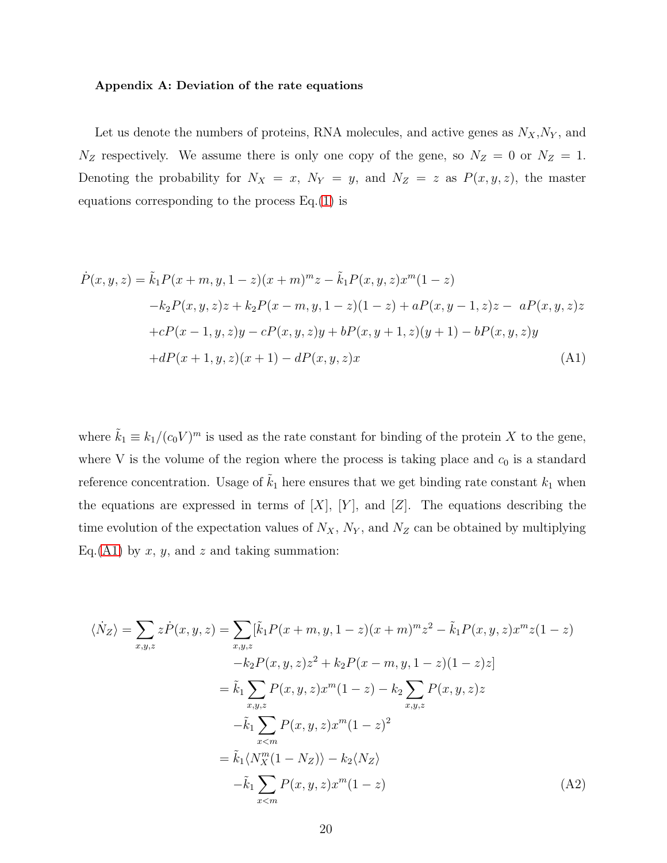#### Appendix A: Deviation of the rate equations

Let us denote the numbers of proteins, RNA molecules, and active genes as  $N_X, N_Y$ , and  $N_Z$  respectively. We assume there is only one copy of the gene, so  $N_Z = 0$  or  $N_Z = 1$ . Denoting the probability for  $N_X = x$ ,  $N_Y = y$ , and  $N_Z = z$  as  $P(x, y, z)$ , the master equations corresponding to the process Eq.[\(1\)](#page-2-0) is

<span id="page-19-0"></span>
$$
\dot{P}(x, y, z) = \tilde{k}_1 P(x + m, y, 1 - z)(x + m)^m z - \tilde{k}_1 P(x, y, z) x^m (1 - z) \n- k_2 P(x, y, z) z + k_2 P(x - m, y, 1 - z)(1 - z) + a P(x, y - 1, z) z - a P(x, y, z) z \n+ cP(x - 1, y, z) y - cP(x, y, z) y + bP(x, y + 1, z)(y + 1) - bP(x, y, z) y \n+ dP(x + 1, y, z)(x + 1) - dP(x, y, z)x
$$
\n(A1)

where  $\tilde{k}_1 \equiv k_1/(c_0 V)^m$  is used as the rate constant for binding of the protein X to the gene, where V is the volume of the region where the process is taking place and  $c_0$  is a standard reference concentration. Usage of  $\tilde{k}_1$  here ensures that we get binding rate constant  $k_1$  when the equations are expressed in terms of  $[X]$ ,  $[Y]$ , and  $[Z]$ . The equations describing the time evolution of the expectation values of  $N_X$ ,  $N_Y$ , and  $N_Z$  can be obtained by multiplying Eq.[\(A1\)](#page-19-0) by x, y, and z and taking summation:

<span id="page-19-1"></span>
$$
\langle \dot{N}_{Z} \rangle = \sum_{x,y,z} z \dot{P}(x,y,z) = \sum_{x,y,z} [\tilde{k}_{1} P(x+m,y,1-z)(x+m)^{m} z^{2} - \tilde{k}_{1} P(x,y,z) x^{m} z(1-z) \n- k_{2} P(x,y,z) z^{2} + k_{2} P(x-m,y,1-z)(1-z) z] \n= \tilde{k}_{1} \sum_{x,y,z} P(x,y,z) x^{m} (1-z) - k_{2} \sum_{x,y,z} P(x,y,z) z \n- \tilde{k}_{1} \sum_{x \le m} P(x,y,z) x^{m} (1-z)^{2} \n= \tilde{k}_{1} \langle N_{X}^{m} (1-N_{Z}) \rangle - k_{2} \langle N_{Z} \rangle \n- \tilde{k}_{1} \sum_{x \le m} P(x,y,z) x^{m} (1-z)
$$
\n(A2)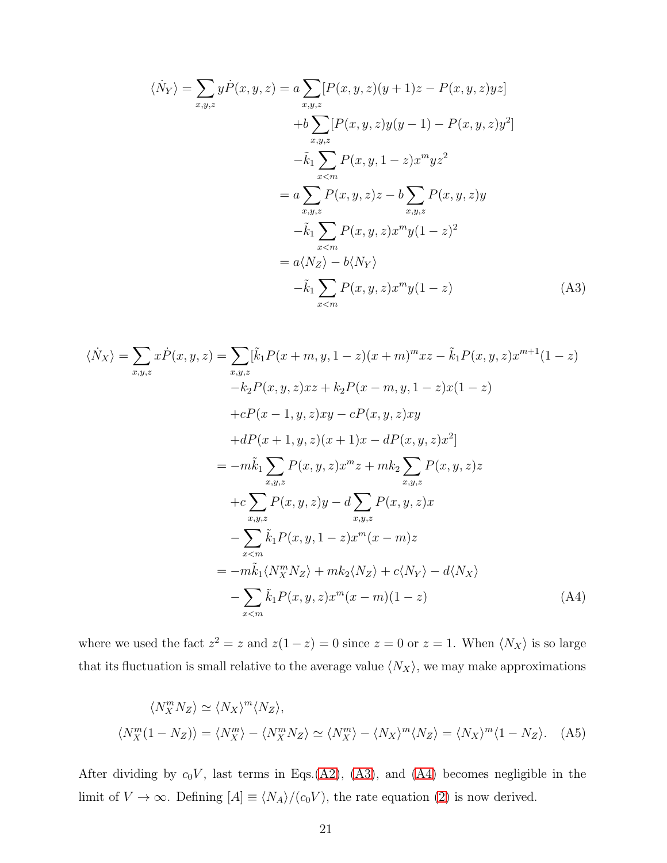<span id="page-20-0"></span>
$$
\langle \dot{N}_{Y} \rangle = \sum_{x,y,z} y \dot{P}(x,y,z) = a \sum_{x,y,z} [P(x,y,z)(y+1)z - P(x,y,z)yz] \n+ b \sum_{x,y,z} [P(x,y,z)y(y-1) - P(x,y,z)y^{2}] \n- \tilde{k}_{1} \sum_{x < m} P(x,y,1-z)x^{m}yz^{2} \n= a \sum_{x,y,z} P(x,y,z)z - b \sum_{x,y,z} P(x,y,z)y \n- \tilde{k}_{1} \sum_{x < m} P(x,y,z)x^{m}y(1-z)^{2} \n= a \langle N_{Z} \rangle - b \langle N_{Y} \rangle \n- \tilde{k}_{1} \sum_{x < m} P(x,y,z)x^{m}y(1-z)
$$
\n(A3)

<span id="page-20-1"></span>
$$
\langle \dot{N}_X \rangle = \sum_{x,y,z} x \dot{P}(x, y, z) = \sum_{x,y,z} [\tilde{k}_1 P(x + m, y, 1 - z)(x + m)^m x z - \tilde{k}_1 P(x, y, z) x^{m+1} (1 - z) \n- k_2 P(x, y, z) x z + k_2 P(x - m, y, 1 - z) x (1 - z) \n+ cP(x - 1, y, z) x y - cP(x, y, z) x y \n+ dP(x + 1, y, z) (x + 1) x - dP(x, y, z) x^2] \n= -m\tilde{k}_1 \sum_{x,y,z} P(x, y, z) x^m z + m k_2 \sum_{x,y,z} P(x, y, z) z \n+ c \sum_{x,y,z} P(x, y, z) y - d \sum_{x,y,z} P(x, y, z) x \n- \sum_{x < m} \tilde{k}_1 P(x, y, 1 - z) x^m (x - m) z \n= -m\tilde{k}_1 \langle N_X^m N_Z \rangle + m k_2 \langle N_Z \rangle + c \langle N_Y \rangle - d \langle N_X \rangle \n- \sum_{x < m} \tilde{k}_1 P(x, y, z) x^m (x - m) (1 - z)
$$
\n(A4)

where we used the fact  $z^2 = z$  and  $z(1-z) = 0$  since  $z = 0$  or  $z = 1$ . When  $\langle N_X \rangle$  is so large that its fluctuation is small relative to the average value  $\langle N_X \rangle$ , we may make approximations

$$
\langle N_X^m N_Z \rangle \simeq \langle N_X \rangle^m \langle N_Z \rangle,
$$
  

$$
\langle N_X^m (1 - N_Z) \rangle = \langle N_X^m \rangle - \langle N_X^m N_Z \rangle \simeq \langle N_X^m \rangle - \langle N_X \rangle^m \langle N_Z \rangle = \langle N_X \rangle^m \langle 1 - N_Z \rangle. \tag{A5}
$$

After dividing by  $c_0V$ , last terms in Eqs.[\(A2\)](#page-19-1), [\(A3\)](#page-20-0), and [\(A4\)](#page-20-1) becomes negligible in the limit of  $V \to \infty$ . Defining  $[A] \equiv \langle N_A \rangle / (c_0 V)$ , the rate equation [\(2\)](#page-3-0) is now derived.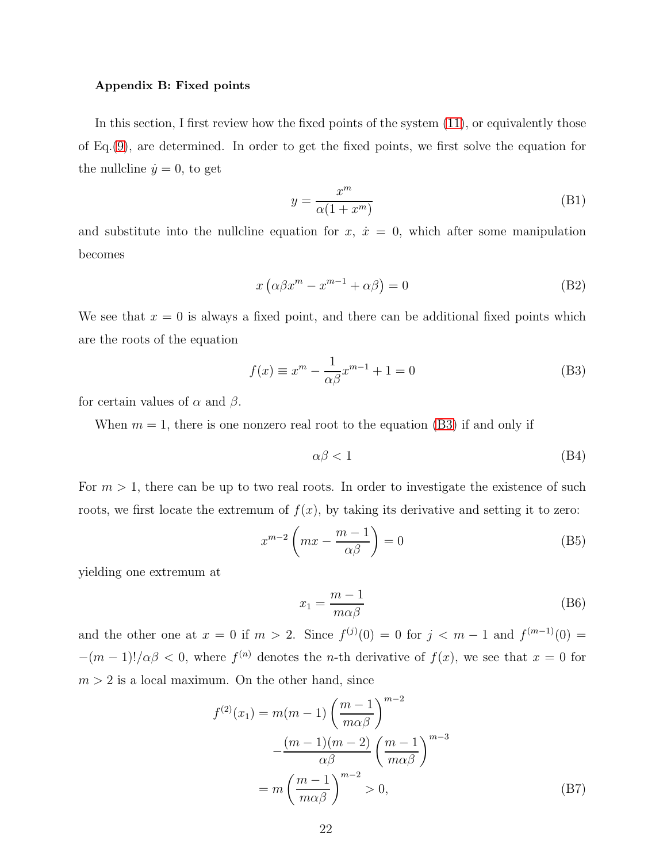#### Appendix B: Fixed points

In this section, I first review how the fixed points of the system [\(11\)](#page-5-0), or equivalently those of Eq.[\(9\)](#page-4-0), are determined. In order to get the fixed points, we first solve the equation for the nullcline  $\dot{y} = 0$ , to get

$$
y = \frac{x^m}{\alpha(1 + x^m)}
$$
 (B1)

and substitute into the nullcline equation for  $x, \dot{x} = 0$ , which after some manipulation becomes

$$
x\left(\alpha\beta x^{m} - x^{m-1} + \alpha\beta\right) = 0\tag{B2}
$$

We see that  $x = 0$  is always a fixed point, and there can be additional fixed points which are the roots of the equation

<span id="page-21-0"></span>
$$
f(x) \equiv x^m - \frac{1}{\alpha \beta} x^{m-1} + 1 = 0
$$
 (B3)

for certain values of  $\alpha$  and  $\beta$ .

When  $m = 1$ , there is one nonzero real root to the equation [\(B3\)](#page-21-0) if and only if

$$
\alpha \beta < 1\tag{B4}
$$

For  $m > 1$ , there can be up to two real roots. In order to investigate the existence of such roots, we first locate the extremum of  $f(x)$ , by taking its derivative and setting it to zero:

$$
x^{m-2} \left( mx - \frac{m-1}{\alpha \beta} \right) = 0 \tag{B5}
$$

yielding one extremum at

$$
x_1 = \frac{m-1}{m\alpha\beta} \tag{B6}
$$

and the other one at  $x = 0$  if  $m > 2$ . Since  $f^{(j)}(0) = 0$  for  $j < m - 1$  and  $f^{(m-1)}(0) = 0$  $-(m-1)!/\alpha\beta < 0$ , where  $f^{(n)}$  denotes the *n*-th derivative of  $f(x)$ , we see that  $x = 0$  for  $m > 2$  is a local maximum. On the other hand, since

$$
f^{(2)}(x_1) = m(m-1) \left(\frac{m-1}{m\alpha\beta}\right)^{m-2}
$$

$$
-\frac{(m-1)(m-2)}{\alpha\beta} \left(\frac{m-1}{m\alpha\beta}\right)^{m-3}
$$

$$
= m \left(\frac{m-1}{m\alpha\beta}\right)^{m-2} > 0,
$$
(B7)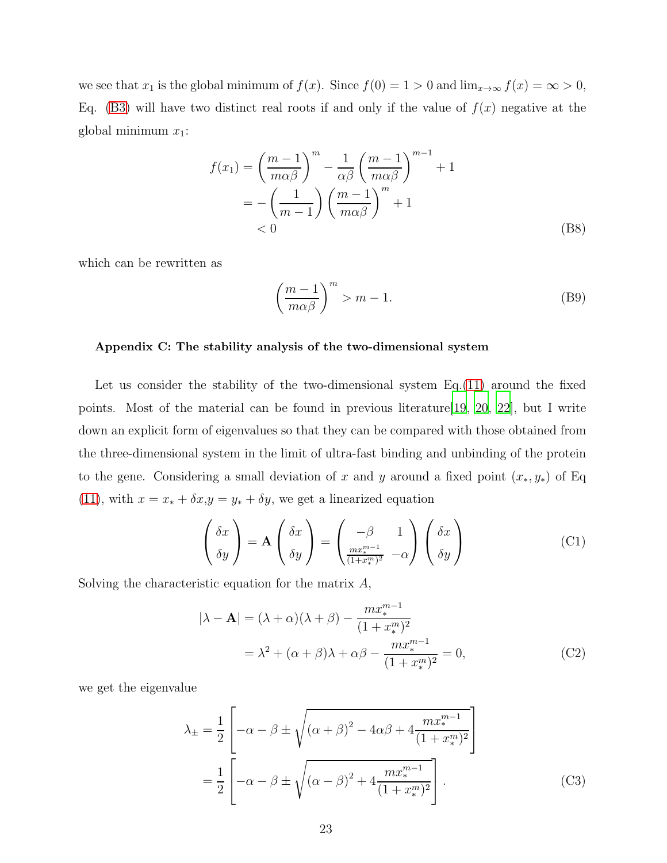we see that  $x_1$  is the global minimum of  $f(x)$ . Since  $f(0) = 1 > 0$  and  $\lim_{x \to \infty} f(x) = \infty > 0$ , Eq. [\(B3\)](#page-21-0) will have two distinct real roots if and only if the value of  $f(x)$  negative at the global minimum  $x_1$ :

$$
f(x_1) = \left(\frac{m-1}{m\alpha\beta}\right)^m - \frac{1}{\alpha\beta} \left(\frac{m-1}{m\alpha\beta}\right)^{m-1} + 1
$$
  
= 
$$
- \left(\frac{1}{m-1}\right) \left(\frac{m-1}{m\alpha\beta}\right)^m + 1
$$
  
< 0 (B8)

which can be rewritten as

<span id="page-22-1"></span>
$$
\left(\frac{m-1}{m\alpha\beta}\right)^m > m-1.
$$
\n(B9)

## Appendix C: The stability analysis of the two-dimensional system

Let us consider the stability of the two-dimensional system Eq.[\(11\)](#page-5-0) around the fixed points. Most of the material can be found in previous literature[\[19](#page-25-7), [20](#page-26-0), [22](#page-26-1)], but I write down an explicit form of eigenvalues so that they can be compared with those obtained from the three-dimensional system in the limit of ultra-fast binding and unbinding of the protein to the gene. Considering a small deviation of x and y around a fixed point  $(x_*, y_*)$  of Eq [\(11\)](#page-5-0), with  $x = x_* + \delta x, y = y_* + \delta y$ , we get a linearized equation

$$
\begin{pmatrix} \delta x \\ \delta y \end{pmatrix} = \mathbf{A} \begin{pmatrix} \delta x \\ \delta y \end{pmatrix} = \begin{pmatrix} -\beta & 1 \\ \frac{mx^{m-1}}{(1+x^m)^2} & -\alpha \end{pmatrix} \begin{pmatrix} \delta x \\ \delta y \end{pmatrix}
$$
(C1)

Solving the characteristic equation for the matrix  $A$ ,

$$
|\lambda - \mathbf{A}| = (\lambda + \alpha)(\lambda + \beta) - \frac{mx_*^{m-1}}{(1 + x_*^m)^2}
$$
  
=  $\lambda^2 + (\alpha + \beta)\lambda + \alpha\beta - \frac{mx_*^{m-1}}{(1 + x_*^m)^2} = 0,$  (C2)

we get the eigenvalue

<span id="page-22-0"></span>
$$
\lambda_{\pm} = \frac{1}{2} \left[ -\alpha - \beta \pm \sqrt{(\alpha + \beta)^2 - 4\alpha\beta + 4\frac{mx_*^{m-1}}{(1 + x_*^m)^2}} \right]
$$

$$
= \frac{1}{2} \left[ -\alpha - \beta \pm \sqrt{(\alpha - \beta)^2 + 4\frac{mx_*^{m-1}}{(1 + x_*^m)^2}} \right].
$$
(C3)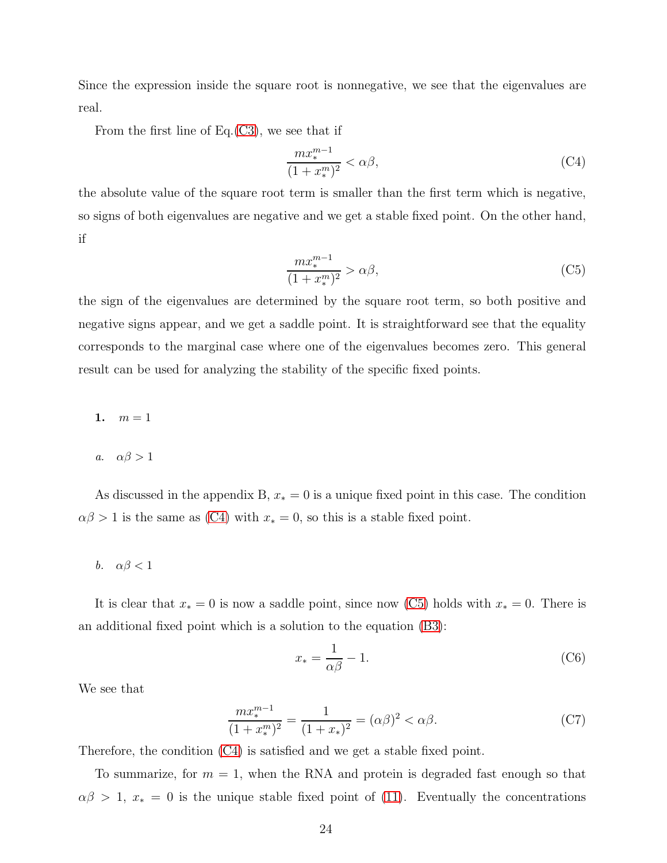Since the expression inside the square root is nonnegative, we see that the eigenvalues are real.

From the first line of Eq. $(C3)$ , we see that if

<span id="page-23-0"></span>
$$
\frac{mx_*^{m-1}}{(1+x_*^m)^2} < \alpha\beta,\tag{C4}
$$

the absolute value of the square root term is smaller than the first term which is negative, so signs of both eigenvalues are negative and we get a stable fixed point. On the other hand, if

<span id="page-23-1"></span>
$$
\frac{mx_*^{m-1}}{(1+x_*^m)^2} > \alpha\beta,\tag{C5}
$$

the sign of the eigenvalues are determined by the square root term, so both positive and negative signs appear, and we get a saddle point. It is straightforward see that the equality corresponds to the marginal case where one of the eigenvalues becomes zero. This general result can be used for analyzing the stability of the specific fixed points.

- 1.  $m = 1$
- a.  $\alpha\beta > 1$

As discussed in the appendix B,  $x_* = 0$  is a unique fixed point in this case. The condition  $\alpha\beta > 1$  is the same as [\(C4\)](#page-23-0) with  $x_* = 0$ , so this is a stable fixed point.

b.  $\alpha\beta < 1$ 

It is clear that  $x_* = 0$  is now a saddle point, since now [\(C5\)](#page-23-1) holds with  $x_* = 0$ . There is an additional fixed point which is a solution to the equation [\(B3\)](#page-21-0):

$$
x_* = \frac{1}{\alpha \beta} - 1. \tag{C6}
$$

We see that

$$
\frac{mx_*^{m-1}}{(1+x_*^m)^2} = \frac{1}{(1+x_*)^2} = (\alpha\beta)^2 < \alpha\beta. \tag{C7}
$$

Therefore, the condition [\(C4\)](#page-23-0) is satisfied and we get a stable fixed point.

To summarize, for  $m = 1$ , when the RNA and protein is degraded fast enough so that  $\alpha\beta > 1$ ,  $x_* = 0$  is the unique stable fixed point of [\(11\)](#page-5-0). Eventually the concentrations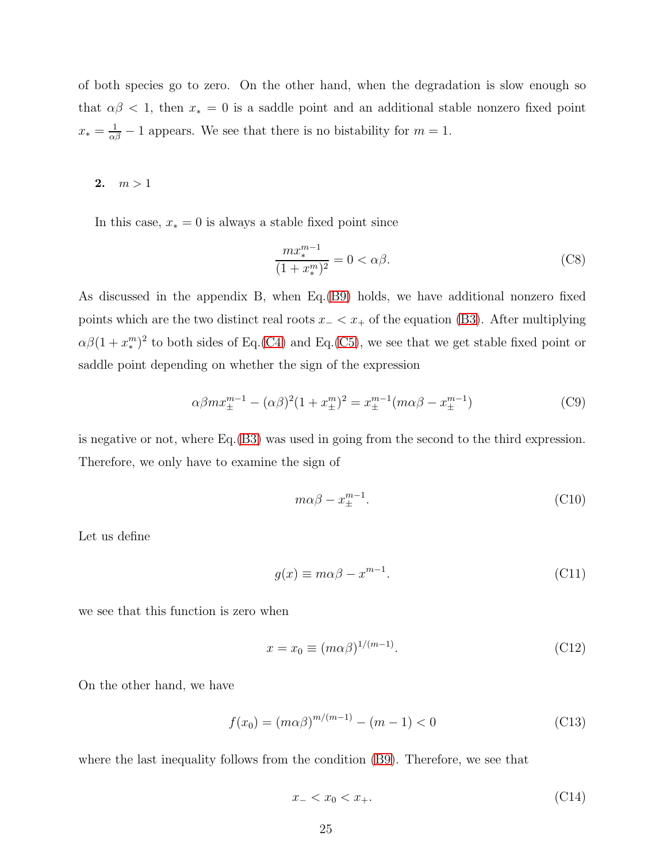of both species go to zero. On the other hand, when the degradation is slow enough so that  $\alpha\beta$  < 1, then  $x_* = 0$  is a saddle point and an additional stable nonzero fixed point  $x_* = \frac{1}{\alpha \beta} - 1$  appears. We see that there is no bistability for  $m = 1$ .

2.  $m > 1$ 

In this case,  $x_* = 0$  is always a stable fixed point since

$$
\frac{mx_*^{m-1}}{(1+x_*^m)^2} = 0 < \alpha\beta. \tag{C8}
$$

As discussed in the appendix B, when Eq.[\(B9\)](#page-22-1) holds, we have additional nonzero fixed points which are the two distinct real roots  $x_$   $<$   $x_+$  of the equation [\(B3\)](#page-21-0). After multiplying  $\alpha\beta(1+x^m_*)$  $_{*}^{m})^{2}$  to both sides of Eq.[\(C4\)](#page-23-0) and Eq.[\(C5\)](#page-23-1), we see that we get stable fixed point or saddle point depending on whether the sign of the expression

$$
\alpha \beta m x_{\pm}^{m-1} - (\alpha \beta)^2 (1 + x_{\pm}^m)^2 = x_{\pm}^{m-1} (m \alpha \beta - x_{\pm}^{m-1})
$$
 (C9)

is negative or not, where Eq.[\(B3\)](#page-21-0) was used in going from the second to the third expression. Therefore, we only have to examine the sign of

$$
m\alpha\beta - x_{\pm}^{m-1}.\tag{C10}
$$

Let us define

$$
g(x) \equiv m\alpha\beta - x^{m-1}.\tag{C11}
$$

we see that this function is zero when

$$
x = x_0 \equiv (m\alpha\beta)^{1/(m-1)}.
$$
\n(C12)

On the other hand, we have

$$
f(x_0) = (m\alpha\beta)^{m/(m-1)} - (m-1) < 0 \tag{C13}
$$

where the last inequality follows from the condition  $(B9)$ . Therefore, we see that

$$
x_{-} < x_0 < x_{+}.
$$
\n(C14)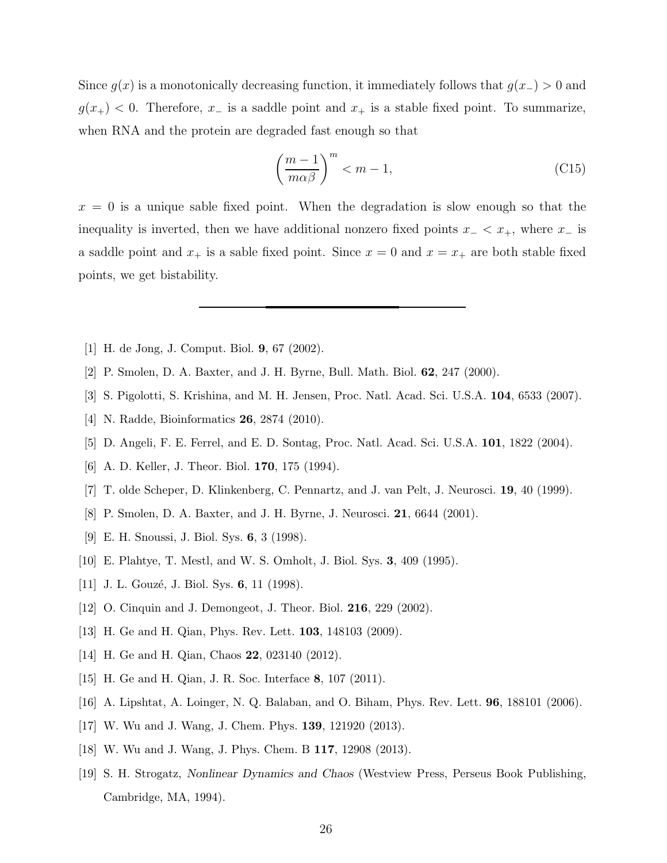Since  $g(x)$  is a monotonically decreasing function, it immediately follows that  $g(x<sub>-</sub>) > 0$  and  $g(x_{+})$  < 0. Therefore,  $x_{-}$  is a saddle point and  $x_{+}$  is a stable fixed point. To summarize, when RNA and the protein are degraded fast enough so that

$$
\left(\frac{m-1}{m\alpha\beta}\right)^m < m-1,\tag{C15}
$$

 $x = 0$  is a unique sable fixed point. When the degradation is slow enough so that the inequality is inverted, then we have additional nonzero fixed points  $x_$   $< x_+$ , where  $x_$  is a saddle point and  $x_+$  is a sable fixed point. Since  $x = 0$  and  $x = x_+$  are both stable fixed points, we get bistability.

- <span id="page-25-0"></span>[1] H. de Jong, J. Comput. Biol. 9, 67 (2002).
- [2] P. Smolen, D. A. Baxter, and J. H. Byrne, Bull. Math. Biol. 62, 247 (2000).
- <span id="page-25-2"></span>[3] S. Pigolotti, S. Krishina, and M. H. Jensen, Proc. Natl. Acad. Sci. U.S.A. 104, 6533 (2007).
- [4] N. Radde, Bioinformatics 26, 2874 (2010).
- <span id="page-25-6"></span><span id="page-25-3"></span>[5] D. Angeli, F. E. Ferrel, and E. D. Sontag, Proc. Natl. Acad. Sci. U.S.A. 101, 1822 (2004).
- [6] A. D. Keller, J. Theor. Biol. 170, 175 (1994).
- [7] T. olde Scheper, D. Klinkenberg, C. Pennartz, and J. van Pelt, J. Neurosci. 19, 40 (1999).
- [8] P. Smolen, D. A. Baxter, and J. H. Byrne, J. Neurosci. 21, 6644 (2001).
- <span id="page-25-4"></span>[9] E. H. Snoussi, J. Biol. Sys. 6, 3 (1998).
- [10] E. Plahtye, T. Mestl, and W. S. Omholt, J. Biol. Sys. 3, 409 (1995).
- [11] J. L. Gouzé, J. Biol. Sys.  $6, 11$  (1998).
- <span id="page-25-5"></span><span id="page-25-1"></span>[12] O. Cinquin and J. Demongeot, J. Theor. Biol. 216, 229 (2002).
- [13] H. Ge and H. Qian, Phys. Rev. Lett. 103, 148103 (2009).
- [14] H. Ge and H. Qian, Chaos **22**, 023140 (2012).
- [15] H. Ge and H. Qian, J. R. Soc. Interface 8, 107 (2011).
- [16] A. Lipshtat, A. Loinger, N. Q. Balaban, and O. Biham, Phys. Rev. Lett. 96, 188101 (2006).
- <span id="page-25-9"></span>[17] W. Wu and J. Wang, J. Chem. Phys. 139, 121920 (2013).
- <span id="page-25-8"></span>[18] W. Wu and J. Wang, J. Phys. Chem. B 117, 12908 (2013).
- <span id="page-25-7"></span>[19] S. H. Strogatz, Nonlinear Dynamics and Chaos (Westview Press, Perseus Book Publishing, Cambridge, MA, 1994).